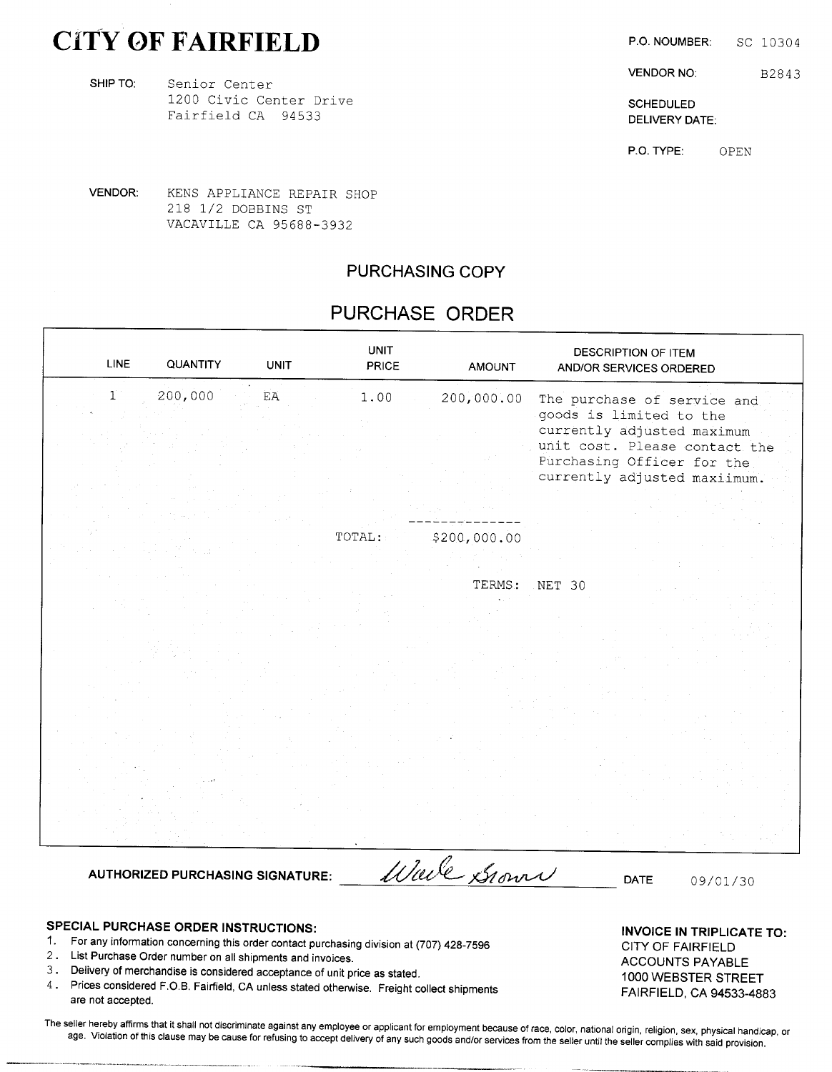# CITY OF FAIRFIELD P.O. NOUMBER: SC 10304

SHIP TO: Senior Center 1200 Civic Center Drive SCHEDULED Fairfield CA 94533 DELIVERY DATE:

are not accepted.

The seller hereby affirms that it shall not discriminate against any employee or applicant for employment because of race, color, national origin, religion, sex, physical handicap, or age. Violation of this clause may be cause for refusing to accept delivery of any such goods and/or services from the seller until the seller complies with said provision.

SPECIAL PURCHASE ORDER INSTRUCTIONS:<br>- INVOICE IN TRIPLICATE TO:

1. For any information concerning this order contact purchasing division at (707) 428-7596 CITY OF FAIRFIELD 2. List Purchase Order number on all shipments and invoices.<br>
ACCOUNTS PAYABLE 3. Delivery of merchandise is considered acceptance of unit price as stated. 1000 WEBSTER STREET 4. Prices considered F.O.B. Fairfield, CA unless stated otherwise. Freight collect shipments FAIRFIELD, CA 94533-4883

VENDOR NO: B2843

P.O. TYPE: OPEN

VENDOR: KENS APPLIANCE REPAIR SHOP <sup>218</sup> 1/2 DOBBINS ST VACAVILLE CA 95688-3932

### PURCHASING COPY

### PURCHASE ORDER

| <b>LINE</b>  | QUANTITY                                | <b>UNIT</b>                | <b>UNIT</b><br><b>PRICE</b> | <b>AMOUNT</b> | DESCRIPTION OF ITEM<br>AND/OR SERVICES ORDERED                                              |
|--------------|-----------------------------------------|----------------------------|-----------------------------|---------------|---------------------------------------------------------------------------------------------|
| $\mathbf{1}$ | 200,000                                 | $\mathop{\rm EA}\nolimits$ | 1.00                        | 200,000.00    | The purchase of service and<br>goods is limited to the<br>currently adjusted maximum        |
|              |                                         |                            |                             |               | unit cost. Please contact the<br>Purchasing Officer for the<br>currently adjusted maxiimum. |
|              |                                         |                            |                             |               |                                                                                             |
|              |                                         |                            | TOTAL:                      | \$200,000.00  |                                                                                             |
|              |                                         |                            |                             | TERMS:        | NET 30                                                                                      |
|              |                                         |                            |                             |               |                                                                                             |
|              |                                         |                            |                             |               |                                                                                             |
|              |                                         |                            |                             |               |                                                                                             |
|              |                                         |                            |                             |               |                                                                                             |
|              |                                         |                            |                             |               |                                                                                             |
|              | <b>AUTHORIZED PURCHASING SIGNATURE:</b> |                            |                             | Wale Grown    | DATE<br>09/01/30                                                                            |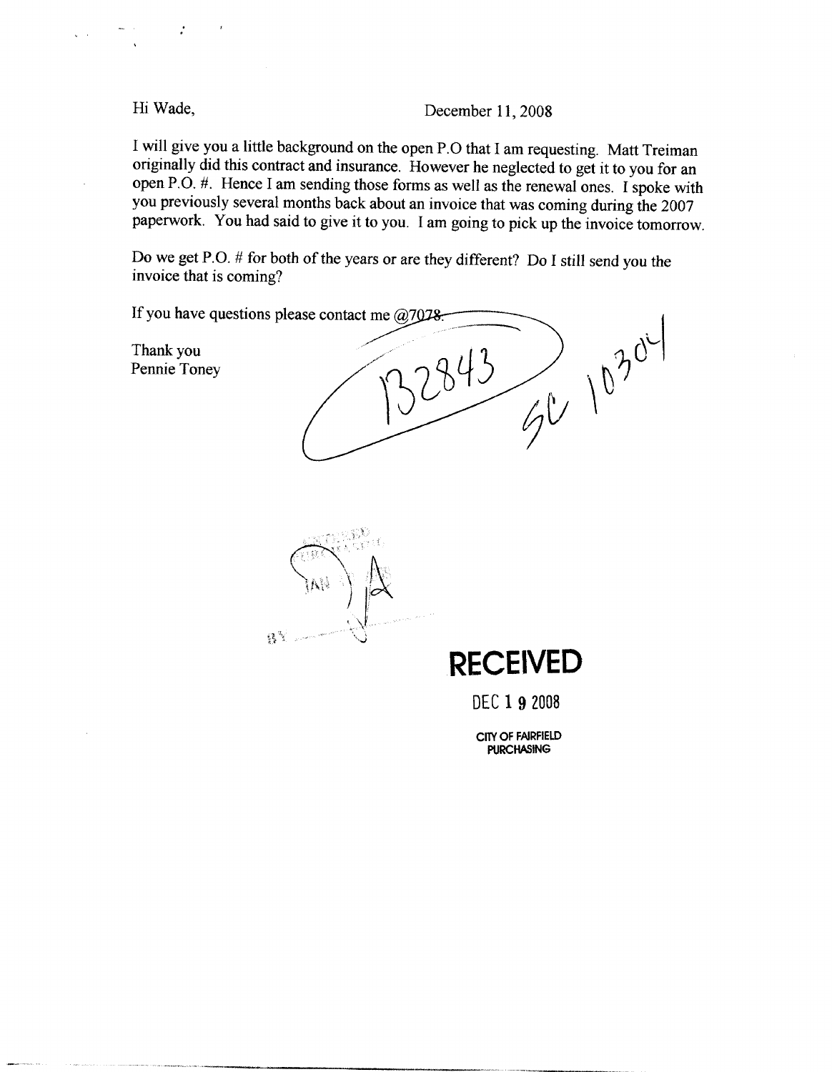Hi Wade,

December 11, 2008

I will give you a little background on the open P.O that I am requesting. Matt Treiman originally did this contract and insurance. However he neglected to get it to you for an open P.O. #. Hence I am sending those forms as well as the renewal ones. I spoke with you previously several months back about an invoice that was coming during the 2007 paperwork. You had said to give it to you. I am going to pick up the invoice tomorrow.

Do we get P.O. # for both of the years or are they different? Do I still send you the invoice that is coming?

If you have questions please contact me  $@7078$ .  $70^{304}$ Thank you 2943 Pennie Toney  $\mathcal{B}^3$ **RECEIVED** DEC 1 9 2008

CITY OF FAIRFIELD **PURCHASING**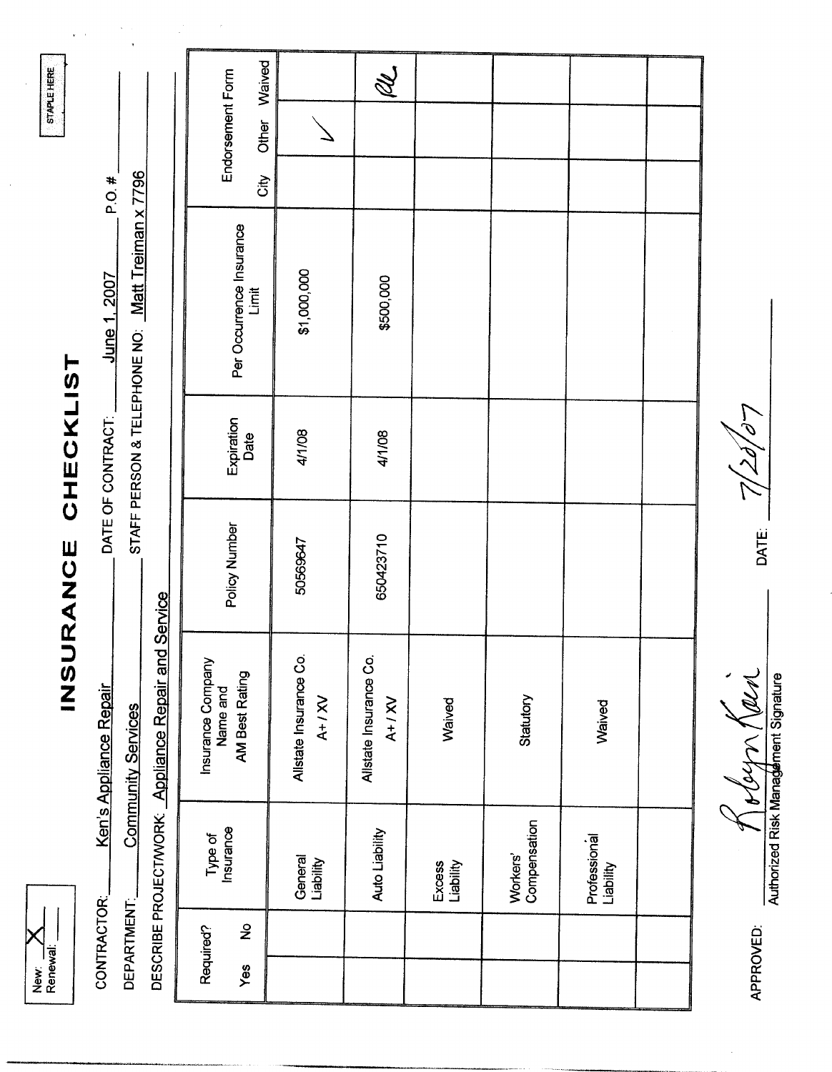| ≹<br>≯ | Renewal <sup>®</sup> |
|--------|----------------------|

# INSURANCE CHECKLIST

Ken's Appliance Repair CONTRACTOR:

**Community Services** 

DEPARTMENT:

June 1, 2007 DATE OF CONTRACT:

 $P.O. #$ 

STAFF PERSON & TELEPHONE NO: Matt Treiman x 7796

|                                                     |                                                 | Waived |                                   | R.<br>S                           |                     |                          |                           |  |
|-----------------------------------------------------|-------------------------------------------------|--------|-----------------------------------|-----------------------------------|---------------------|--------------------------|---------------------------|--|
|                                                     | Endorsement Form                                | Other  |                                   |                                   |                     |                          |                           |  |
|                                                     |                                                 | City   |                                   |                                   |                     |                          |                           |  |
|                                                     | Per Occurrence Insurance<br>Limit               |        | \$1,000,000                       | \$500,000                         |                     |                          |                           |  |
|                                                     | Expiration<br>Date                              |        | 4/1/08                            | 4/1/08                            |                     |                          |                           |  |
|                                                     | Policy Number                                   |        | 50569647                          | 650423710                         |                     |                          |                           |  |
| DESCRIBE PROJECT/WORK: Appliance Repair and Service | Insurance Company<br>AM Best Rating<br>Name and |        | Allstate Insurance Co<br>$A+1$ XV | Allstate Insurance Co<br>$A+1$ XV | Waived              | Statutory                | Waived                    |  |
|                                                     | Type of<br>Insurance                            |        | General<br>Liability              | Auto Liability                    | Excess<br>Liability | Compensation<br>Workers' | Professional<br>Liability |  |
|                                                     | $\frac{1}{2}$<br>Required?                      |        |                                   |                                   |                     |                          |                           |  |
|                                                     | Yes                                             |        |                                   |                                   |                     |                          |                           |  |

 $\mathcal{L}$ DATE:

 $\frac{1}{2}$  of  $\frac{1}{2}$   $\frac{1}{2}$   $\frac{1}{2}$   $\frac{1}{2}$   $\frac{1}{2}$   $\frac{1}{2}$   $\frac{1}{2}$   $\frac{1}{2}$   $\frac{1}{2}$   $\frac{1}{2}$   $\frac{1}{2}$   $\frac{1}{2}$   $\frac{1}{2}$   $\frac{1}{2}$   $\frac{1}{2}$   $\frac{1}{2}$   $\frac{1}{2}$   $\frac{1}{2}$   $\frac{1}{2}$   $\frac{1}{2}$   $\frac{1}{2}$ 

APPROVED:

STAPLE HERE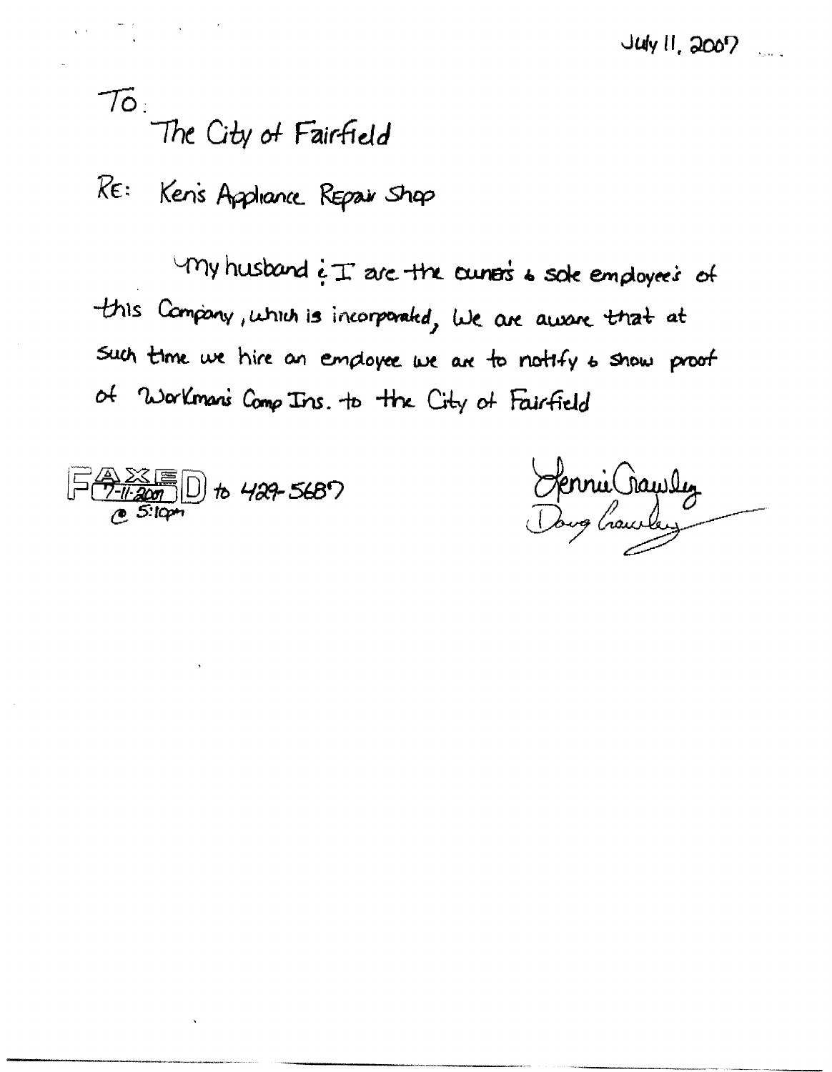To:<br>The City of Fairfield

RE: Ken's Appliance Repair Shap

 $\nu$  my husband  $\epsilon$  I are the cunose is sole employees of this Company, which is incorporated, we are aware that at Such time we hire an employee we are to notify to show proof of Workman's Comp Ins. to the City of Fairfield

<u>A 28 F</u> D to 429-5687<br>*C 5:10pm* 

Hennie Crawley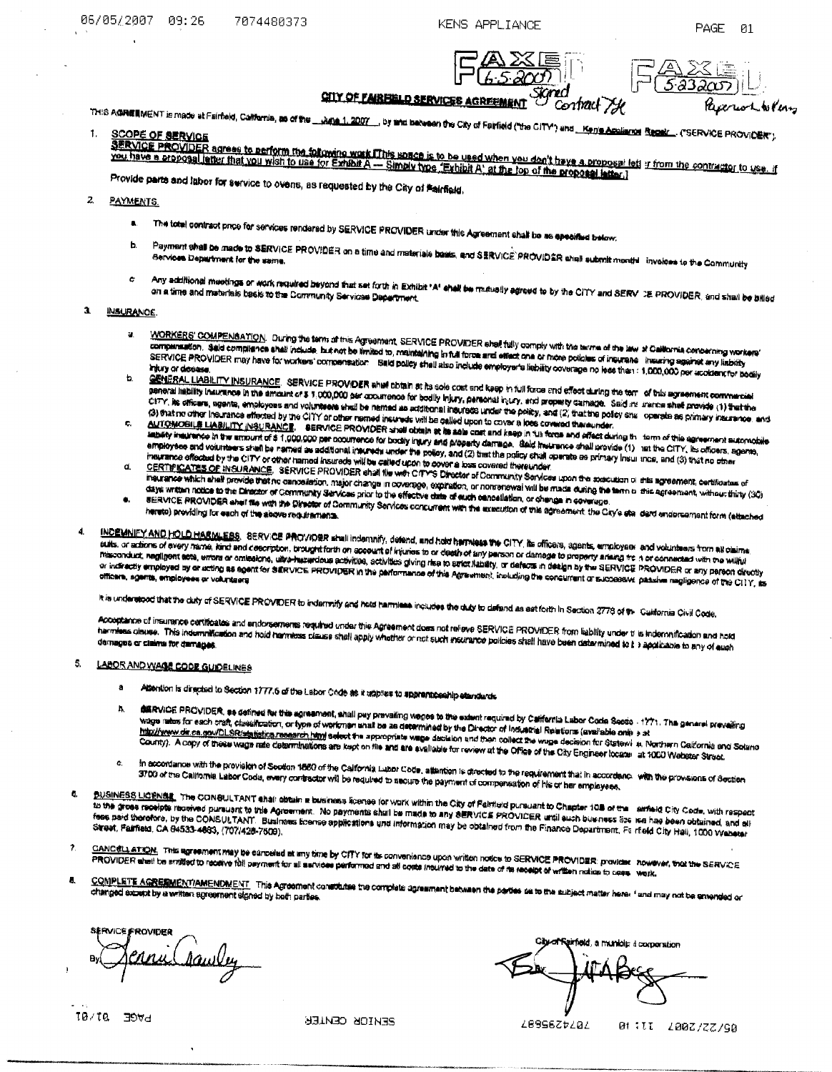KENS APPLIANCE

23

PAGE

Pascruo La Keny

-ศ1

**CITY OF FAIRFIELD SERVICES AGREEMENT** Contract The

THIS A**GREE**MENT is made at Fairfield, California, **as of the \_\_\_Ai<u>na 1. 2007</u>\_\_.** by take between the City of Fairfield ("the CITY") and <u>... Ken's Assistme Resekt .</u>. ("SERVICE PROVIDER").

SCOUTE PROVIDER agrees to perform the following work iThis space is to be used when you don't have a proposal lett if from the contractor to use, if<br>SERVICE PROVIDER agrees to perform the following work iThis space is to b

Provide parts and labor for service to overis, as requested by the City of Fairfield.

### $\mathbf{z}$ **PAYMENTS.**

- The total contract price for services rendered by SERVICE PROVIDER tinder this Agreement shall be as appeared below.  $\blacksquare$
- Payment shall be made to SERVICE PROVIDER on a time and materials basis, and SERVICE PROVIDER shall submit month invoices to the Community h.
- Any additional meetings or work required beyond that set forth in Exhibit \*A' shall be mutually agreed to by the CiTY and SERV DE PROVIDER, and shall be billed  $\epsilon$

### $\mathbf{a}$ **INSURANCE**

 $\overline{a}$ 

- WORKERS' COMPENSATION. During the term of this Agreement, SERVICE PROVIDER shall fully comply with the terms of the law of California concerning workers' a. compares for a set of completes shall include but not be limited to, maintaining in that first and of more policies of neurano incurring assinct any lability SERVICE PROVIDER may have for workers' compensation. Said policy shall also include employer's liability coverage no least for a meeting seemed with nazing ь
- CENERAL LIABILITY INSURANCE SERVICE PROVIDER shall obtain at its sole cost and keep in full force and effect during the terr of this agreement commercial Sections experience and concerns the section of the contract of bodly injury, personal intry, and property camage. Said in thence shat provide (1) that the<br>peneral liability inturance in the amount of \$ 1,000,000 per occur CITY, its officers, agents, employees and volunteers shall be named as additional insurance may be policy, and (2) that the policy shall consider as primary insurance, and (3) that no other insurance effected by the CITY or other resmed insureds will be called upon to cover a loos covered thereunder.
- AUTOMOBILE LABILITY INSURANCE. SERVICE PROVIDER shall obtain at its ads cost and keep in full force and effect during the farm of this agreement submodule c. Distribution of the attract of \$1,000,000 per coourserce for bodily intervent property damage. Baid insurance shall provide (1) and the CITY, its officers, agents, empty new way with examples in the company of the company of the policy, and (2) that the policy shall operate as primary insurance, and (3) that no store and (3) that no store meurance effected by the CITY or other named insureds will be called upon to cover a loss covered thereunder.
- The ance offered by a way in the contract the contract of the way of the contract of Community Services upon the specialism of this agreement, certificates of d. maurance which shall provide that no cancelation, major change in coverage, expiration, or nomenewal will be made during the term is the agreement, withour thiny (30)
- diave was formed and process was no sensored and conserved and are a conserved and analysis written and are computed and the Director of Conserved and the Director of Conserved and the Conserved and the Conserved and the c service PROVIDER shall file with the Director of Community Services concurrent with the appartition of this agreement the City's stal dard endorsement form (attached  $\bullet.$
- 

INCEMNIFY AND HOLD HARMLESS. SERVICE PROVIDER shall indemnify, defend, and hold harmless the CITY, its officers, agents, employeer and volunteers from all claims. sure and the property of the statement of the control of the second of the state of any person or damage to property arising the non-occurrence compared with the willing Maconduct, negligent acts, errors or omealone, ultra-hazardous activities, activities giving rise to benc: Athaty, or defects in design by the SERVICE PROVIDER or any pareon directly maconsum, resignitions with the company werder were contained to partomance of this Agreement, including the condition of a condition of the condition of the CITY, as or in the condition of the CITY, as

it is understood that the duty of SERVICE PROVIDER to indermity and hold harmiese includes the duty to defend as set forth in Section 2778 of the Cultionnia Civil Code.

Acceptance of insurance certificates and endorsements required under this Agreement does not relieve SERVICE PROVIDER from liability under tris inderwrification and hold The proposition of the second construction of the company of the second construction of the construction of the construction of the construction of the construction of the construction of the construction of the constructi

### 5. LABOR AND WAGE CODE GUIDELINES

- Attention is directed to Section 1777.6 of the Labor Code as it attplies to spprenticeship etendentia  $\bullet$
- difficult PROVIDER, so defined for this agreement, shall pay prevailing wages to the extent required by California Labor Code Secto 1771. The general prevailing  $\mathbf{h}$ describe provident as contain the use equivertent, some pay providing interest and community and the product of<br>Wage rates for each craft, classification, or type of workings and be as determined by the Director of Industr http://www.dr.ca.gov/DLSR/statistica.reearch.html select the appropriate wage decision and then collect the wage decision for Statewinds, Porthern California and Science Description of these wage rate determinations are kept on file and are available for review at the Office of the City Engineer focate. at 1000 Webster Street.
- In accordance with the provision of Section 1880 of the California Labor Code, attention is directed to the requirement that in accordance with the provisions of Section C. al secondarior and the protector of seconds on the second the means of the payment of companished of his or her employees.
- **BUSINESS LICENSE**. The CONSULTANT shall obtain a business license for work within the City of Falmield pursuant to Chapter 108 of the aimed City Code, with raspect ā. to the gross receipts received pursuant to this Agreement. No payments shall be made to any dERVICE PROVIDER until such busness for near has been obtained, and all the grow vertice inverse particle with component interestions and information may be obtained from the Einance Department, Fe itseld City Hall, 1000 Webster
- CANC¢LL ATION. This agreement may be conseled at any time by CITY for its convenience upon written notice to SERVICE PROVIDER: provider however, that the SERVICE PROVIDER shall be smitted to receive foll psyment for all astrone performed and all costs interview income of the second investment in enters investments in the state of the second intervent in the state. Were the state of
- COMPLETE AGREEMENT/AMENDMENT. This Agreement constitutes the complete agreement between the parties on to the subject matter here. I and may not be annended or  $\mathbf{a}$

**SERVICE PROVIDER** Aawley

simeld, a municip il corporation

 $10/10 - 706$ d

**PENTOK CENIER** 

*LB996ZtL0L* 

01:II 200Z/ZZ/S0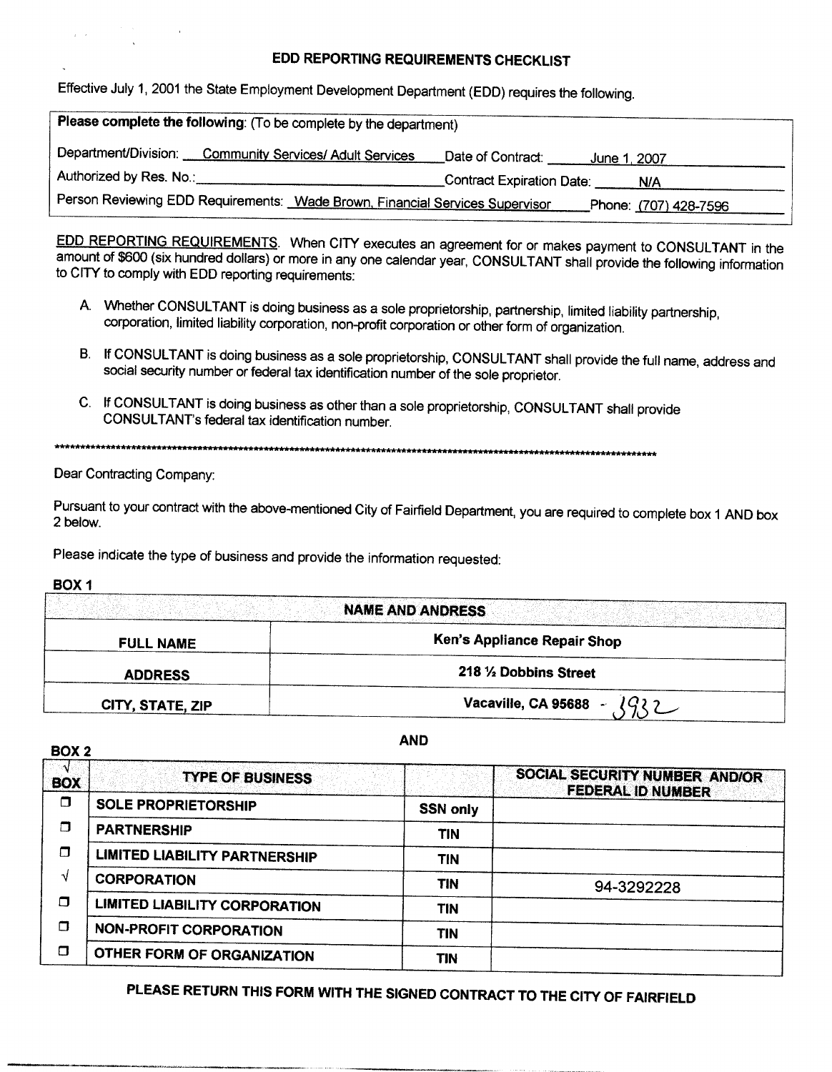### EDD REPORTING REQUIREMENTS CHECKLIST

Effective July 1, 2001 the State Employment Development Department (EDD) requires the following.

| Please complete the following: (To be complete by the department)            |                                             |                              |  |  |  |  |  |  |
|------------------------------------------------------------------------------|---------------------------------------------|------------------------------|--|--|--|--|--|--|
| Department/Division: Community Services/ Adult Services                      | Date of Contract:<br><u>. June 1, 2007.</u> |                              |  |  |  |  |  |  |
| Authorized by Res. No.:                                                      | _Contract Expiration Date:                  | N/A                          |  |  |  |  |  |  |
| Person Reviewing EDD Requirements: Wade Brown, Financial Services Supervisor |                                             | Phone: <u>(707)</u> 428-7596 |  |  |  |  |  |  |

EDD REPORTING REQUIREMENTS. When CITY executes an agreement for or makes payment to CONSULTANT in the amount of \$600 (six hundred dollars) or more in any one calendar year, CONSULTANT shall provide the following information to CITY to comply with EDD reporting requirements:

- A. Whether CONSULTANT is doing business as a sole proprietorship, partnership, limited liability partnership, corporation, limited liability corporation, non-profit corporation or other form of organization.
- B. If CONSULTANT is doing business as a sole proprietorship, CONSULTANT shall provide the full name, address and social security number or federal tax identification number of the sole proprietor.
- C. If CONSULTANT is doing business as other than a sole proprietorship, CONSULTANT shall provide CONSULTANT's federal tax identification number.

\*\*\*\*\*\*\*\*\*\*\*\* 

Dear Contracting Company:

Pursuant to your contract with the above-mentioned City of Fairfield Department, you are required to complete box 1 AND box 2 below.

Please indicate the type of business and provide the information requested:

BOX<sub>1</sub>

|                  | NAME AND ANDRESS              |
|------------------|-------------------------------|
| <b>FULL NAME</b> | Ken's Appliance Repair Shop   |
| <b>ADDRESS</b>   | 218 1/2 Dobbins Street        |
| CITY, STATE, ZIP | lQ22<br>Vacaville, CA 95688 - |

BOX<sub>2</sub>

**AND** 

| <b>BOX</b> | <b>TYPE OF BUSINESS</b>              |                 | SOCIAL SECURITY NUMBER AND/OR<br><b>FEDERAL ID NUMBER</b> |
|------------|--------------------------------------|-----------------|-----------------------------------------------------------|
| ⊓          | <b>SOLE PROPRIETORSHIP</b>           | <b>SSN only</b> |                                                           |
| П          | <b>PARTNERSHIP</b>                   | TIN             |                                                           |
| П          | <b>LIMITED LIABILITY PARTNERSHIP</b> | <b>TIN</b>      |                                                           |
| √          | <b>CORPORATION</b>                   | TIN             | 94-3292228                                                |
| Π          | <b>LIMITED LIABILITY CORPORATION</b> | TIN             |                                                           |
| Ω          | <b>NON-PROFIT CORPORATION</b>        | TIN             |                                                           |
| Π          | OTHER FORM OF ORGANIZATION           | TIN             |                                                           |

PLEASE RETURN THIS FORM WITH THE SIGNED CONTRACT TO THE CITY OF FAIRFIELD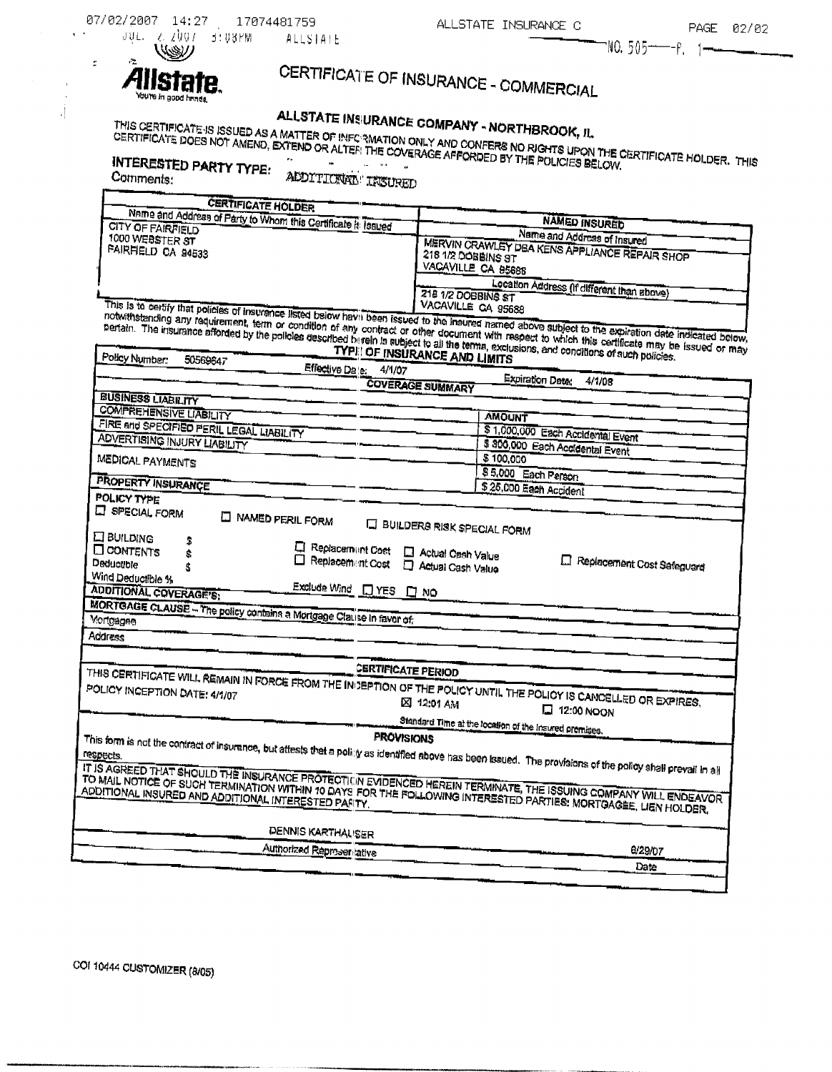| 07/02/2007 |  | -14:27       | 17074481759   |          |
|------------|--|--------------|---------------|----------|
|            |  | JULE Z ZUQ7. | - 3 : U 3 P M | ALLSTATE |

# CERTIFICATE OF INSURANCE - COMMERCIAL

# ALLSTATE INSURANCE COMPANY - NORTHBROOK, IL

THIS CERTIFICATE IS ISSUED AS A MATTER OF INFC 3MATION ONLY AND CONFERS NO RIGHTS UPON THE CERTIFICATE HOLDER. THIS<br>CERTIFICATE DOES NOT AMEND, EXTEND OR ALTER THE COVERAGE AFFORDED BY THE POLICIES BELOW. **INTERESTED PARTY TYPE:** 

Comments:

 $\ddot{\phantom{a}}$ 

 $\pm$  $\ddot{\phantom{a}}$ 

 $\cdot$  [

 $\tilde{\tau}$ 

ľ

ADDITIONAL' INSURED

| <b>CERTIFICATE HOLDER</b>                                                                                                                  |                                                                                                                                                                                                                                                                                                             |  |  |  |
|--------------------------------------------------------------------------------------------------------------------------------------------|-------------------------------------------------------------------------------------------------------------------------------------------------------------------------------------------------------------------------------------------------------------------------------------------------------------|--|--|--|
| Name and Address of Party to Whom this Certificate it: Issued                                                                              | <b>NAMED INSURED</b>                                                                                                                                                                                                                                                                                        |  |  |  |
| CITY OF FAIRFIELD                                                                                                                          |                                                                                                                                                                                                                                                                                                             |  |  |  |
| 1000 WEBSTER ST                                                                                                                            | Name and Address of Insured<br>MERVIN CRAWLEY DBA KENS APPLIANCE REPAIR SHOP                                                                                                                                                                                                                                |  |  |  |
| <b>FAIRFIELD CA 94533</b>                                                                                                                  | 218 1/2 DOBBINS ST                                                                                                                                                                                                                                                                                          |  |  |  |
|                                                                                                                                            | VACAVILLE CA 85688                                                                                                                                                                                                                                                                                          |  |  |  |
|                                                                                                                                            |                                                                                                                                                                                                                                                                                                             |  |  |  |
|                                                                                                                                            | Location Address (If different than above)<br>218 1/2 DOBBINS ST                                                                                                                                                                                                                                            |  |  |  |
|                                                                                                                                            |                                                                                                                                                                                                                                                                                                             |  |  |  |
|                                                                                                                                            | This is to certify that policies of insurance listed below havit been issued to the insured named above subject to the expiration date indicated below,<br>notwithstanding any requirement, term or condition of any contract or other document with respect to which this certificate may be issued or may |  |  |  |
|                                                                                                                                            |                                                                                                                                                                                                                                                                                                             |  |  |  |
| pertain. The insurance afforded by the policies described berein is subject to all the terms, exclusions, and conditions of such policies. |                                                                                                                                                                                                                                                                                                             |  |  |  |
| Policy Number:<br>50569647                                                                                                                 | TYPE OF INSURANCE AND LIMITS                                                                                                                                                                                                                                                                                |  |  |  |
| Effective Date:<br>4/1/07                                                                                                                  |                                                                                                                                                                                                                                                                                                             |  |  |  |
|                                                                                                                                            | Expiration Date:<br>4/1/08<br><b>COVERAGE SUMMARY</b>                                                                                                                                                                                                                                                       |  |  |  |
| <b>BUSINESS LIABILITY</b>                                                                                                                  |                                                                                                                                                                                                                                                                                                             |  |  |  |
| <b>COMPREHENSIVE LIABILITY</b>                                                                                                             |                                                                                                                                                                                                                                                                                                             |  |  |  |
| FIRE and SPECIFIED PERIL LEGAL LIABILITY                                                                                                   | <b>AMOUNT</b>                                                                                                                                                                                                                                                                                               |  |  |  |
| ADVERTISING INJURY LIABILITY                                                                                                               | \$ 1,000,000 Each Accidental Event                                                                                                                                                                                                                                                                          |  |  |  |
|                                                                                                                                            | \$ 300,000 Each Accidental Event                                                                                                                                                                                                                                                                            |  |  |  |
| MEDICAL PAYMENTS                                                                                                                           | \$100,000                                                                                                                                                                                                                                                                                                   |  |  |  |
|                                                                                                                                            | \$5,000 Each Parson                                                                                                                                                                                                                                                                                         |  |  |  |
| <b>PROPERTY INSURANCE</b>                                                                                                                  | \$25,000 Each Accident                                                                                                                                                                                                                                                                                      |  |  |  |
| <b>POLICY TYPE</b>                                                                                                                         |                                                                                                                                                                                                                                                                                                             |  |  |  |
| <b>ET SPECIAL FORM</b>                                                                                                                     |                                                                                                                                                                                                                                                                                                             |  |  |  |
| <b>NAMED PERIL FORM</b>                                                                                                                    | <b>ET BUILDERS RISK SPECIAL FORM</b>                                                                                                                                                                                                                                                                        |  |  |  |
| E BUILDING<br>1                                                                                                                            |                                                                                                                                                                                                                                                                                                             |  |  |  |
| <b>El Replacement Cost</b><br><b>O CONTENTS</b><br>\$                                                                                      | Actual Cash Value                                                                                                                                                                                                                                                                                           |  |  |  |
| Replacement Cost<br>Deductible<br>ġ,                                                                                                       | Replacement Cost Safeguard<br>Actual Cash Value                                                                                                                                                                                                                                                             |  |  |  |
| Wind Deductible %                                                                                                                          |                                                                                                                                                                                                                                                                                                             |  |  |  |
| Exclude Wind DYES D NO<br>ADDITIONAL COVERAGE'S:                                                                                           |                                                                                                                                                                                                                                                                                                             |  |  |  |
|                                                                                                                                            |                                                                                                                                                                                                                                                                                                             |  |  |  |
| MORTGAGE CLAUSE - The policy contains a Mortgage Clause in favor of                                                                        |                                                                                                                                                                                                                                                                                                             |  |  |  |
|                                                                                                                                            |                                                                                                                                                                                                                                                                                                             |  |  |  |
| <b>Address</b>                                                                                                                             |                                                                                                                                                                                                                                                                                                             |  |  |  |
|                                                                                                                                            |                                                                                                                                                                                                                                                                                                             |  |  |  |
|                                                                                                                                            | <b>CERTIFICATE PERIOD</b>                                                                                                                                                                                                                                                                                   |  |  |  |
|                                                                                                                                            |                                                                                                                                                                                                                                                                                                             |  |  |  |
|                                                                                                                                            |                                                                                                                                                                                                                                                                                                             |  |  |  |
| THIS CERTIFICATE WILL REMAIN IN FORCE FROM THE IN SEPTION OF THE POLICY UNTIL THE POLICY IS CANCELLED OR EXPIRES.                          | 図 12:01 AM                                                                                                                                                                                                                                                                                                  |  |  |  |
|                                                                                                                                            | $\Box$ 12:00 NOON                                                                                                                                                                                                                                                                                           |  |  |  |
|                                                                                                                                            | Standard Time at the location of the Insured premises.                                                                                                                                                                                                                                                      |  |  |  |
| <b>PROVISIONS</b>                                                                                                                          | This form is not the contract of insurance, but affests that a polity as identified above has been issued. The provisions of the policy shall prevail in all                                                                                                                                                |  |  |  |
|                                                                                                                                            |                                                                                                                                                                                                                                                                                                             |  |  |  |
|                                                                                                                                            |                                                                                                                                                                                                                                                                                                             |  |  |  |
| TO MAIL NOTICE OF SUCH TERMINATION WITHIN 10 DAYS FOR THE FOLLOWING INTERESTED PARTIES: MORTGAGEE, LIEN HOLDER,                            | IT IS AGREED THAT SHOULD THE INSURANCE PROTECTION EVIDENCED HEREIN TERMINATE, THE ISSUING COMPANY WILL ENDEAVOR                                                                                                                                                                                             |  |  |  |
|                                                                                                                                            |                                                                                                                                                                                                                                                                                                             |  |  |  |
|                                                                                                                                            |                                                                                                                                                                                                                                                                                                             |  |  |  |
|                                                                                                                                            |                                                                                                                                                                                                                                                                                                             |  |  |  |
|                                                                                                                                            |                                                                                                                                                                                                                                                                                                             |  |  |  |
| <b>DENNIS KARTHAUSER</b>                                                                                                                   |                                                                                                                                                                                                                                                                                                             |  |  |  |
| Authorized Representative                                                                                                                  | 6/29/07                                                                                                                                                                                                                                                                                                     |  |  |  |
|                                                                                                                                            | Date                                                                                                                                                                                                                                                                                                        |  |  |  |
|                                                                                                                                            |                                                                                                                                                                                                                                                                                                             |  |  |  |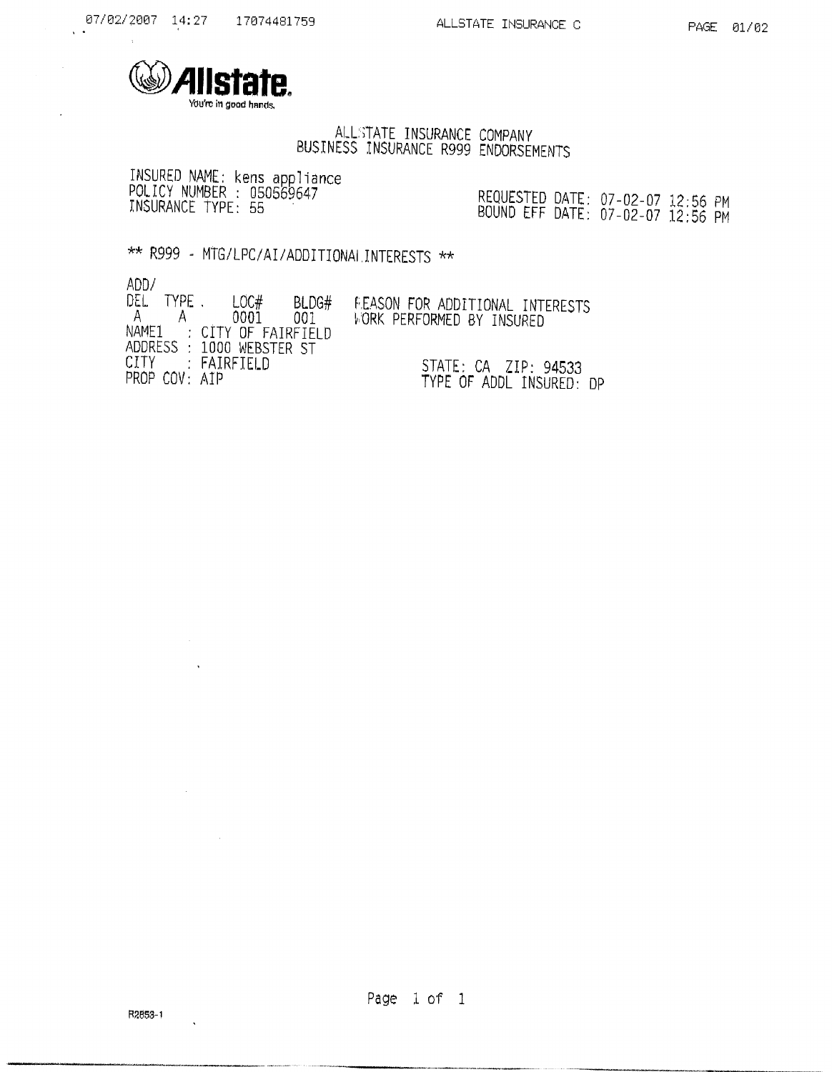

# ALLSTATE INSURANCE COMPANY<br>BUSINESS INSURANCE R999 ENDORSEMENTS

INSURED NAME: kens appliance<br>POLICY NUMBER : 050569647<br>INSURANCE TYPE: 55

REQUESTED DATE: 07-02-07 12:56 PM<br>BOUND EFF DATE: 07-02-07 12:56 PM

\*\* R999 - MTG/LPC/AI/ADDITIONALINTERESTS \*\*

 $ADD /$ 

 $\sim 10^{-1}$  $\Delta$ 

 $\mathcal{L}^{\text{max}}_{\text{max}}$ 

 $\sim 10^6$ 

 $\cdot$ 

| NUU7<br>DEL<br>TYPE.<br>$\Delta$ | LOC#<br>BLDG#<br>.0001<br>001.<br>NAME1 : CITY OF FAIRFIELD<br>ADDRESS : 1000 WEBSTER ST | FEASON FOR ADDITIONAL INTERESTS<br><b>WORK PERFORMED BY INSURFD</b> |
|----------------------------------|------------------------------------------------------------------------------------------|---------------------------------------------------------------------|
| PROP COV: AIP                    | CITY : FAIRFIELD                                                                         | $STATE: CA$ $ZIP: 94533$<br>TYPE OF ADDL INSURED: DP                |

Page 1 of 1

 $\bar{\mathcal{A}}$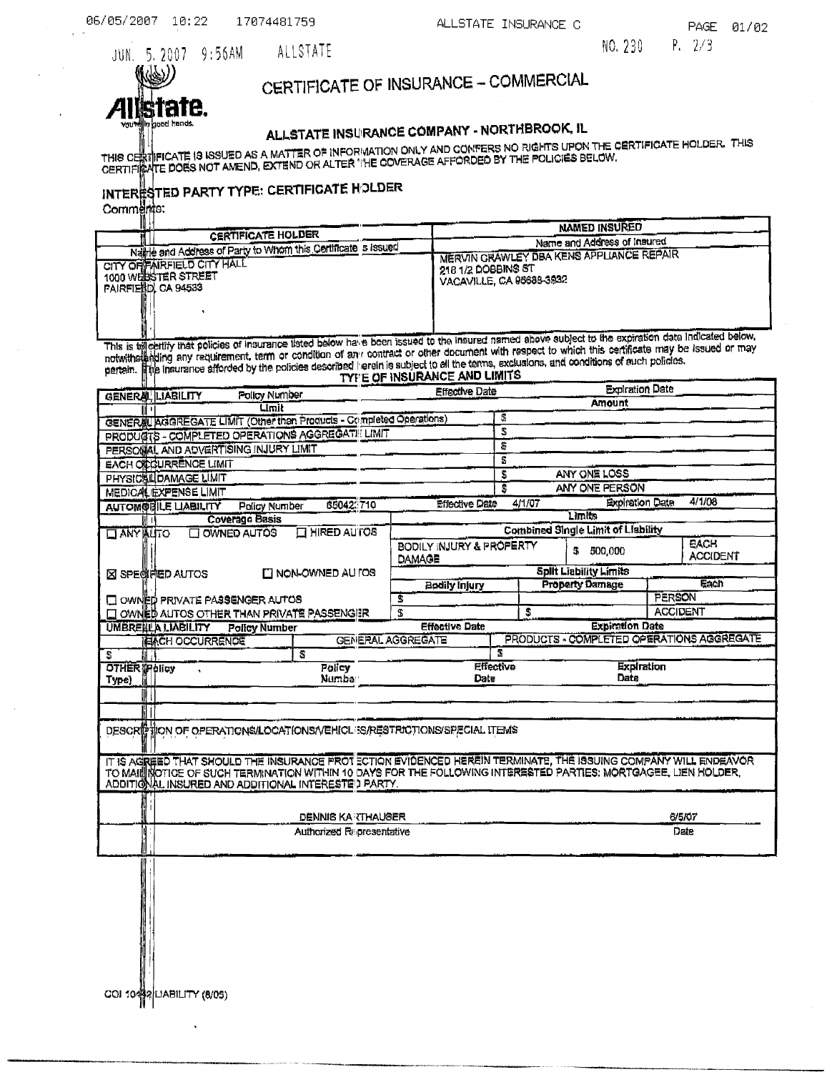NO. 230  $P. 2/3$ 

JUN. 5. 2007 9:56AM Ы. abod hands

# CERTIFICATE OF INSURANCE - COMMERCIAL

# ALLSTATE INSURANCE COMPANY - NORTHBROOK, IL

THIS CERTIFICATE IS ISSUED AS A MATTER OF INFORMATION ONLY AND CONFERS NO RIGHTS UPON THE CERTIFICATE HOLDER. THIS<br>CERTIFIRATE DOES NOT AMEND, EXTEND OR ALTER THE COVERAGE AFFORDED BY THE POLICIES BELOW.

# INTERESTED PARTY TYPE: CERTIFIGATE HOLDER<br>Comments:

ALLSTATE

| <b>CERTIFICATE HOLDER</b>                                      | <b>NAMED INSURED</b>                                                                   |
|----------------------------------------------------------------|----------------------------------------------------------------------------------------|
| Natric and Address of Party to Whom this Cortificate is issued | Name and Address of Insured<br>MERVIN GRAWLEY DBA KENS APPLIANCE REPAIR                |
| CITY OF FAIRFIELD CITY HALL<br>1000 WEILSSTER STREET           | $^{\circ}$ 218 1/2 DOBBINS ST                                                          |
| <b>FAIRFIELLIDI CA 94533</b>                                   | VACAVILLE, CA 95688-3922                                                               |
|                                                                |                                                                                        |
|                                                                | <b>This is the figured assed choic subject to the expiration data indicated below.</b> |

This is telectrify that policies of insurance listed below have been issued to the insured named above subject to the expiration date indicated below,<br>notwithstanding any requirement, term or condition of any contract or o ë.

| $\frac{1}{2}$ | TYE'E OF INSURANCE AND LIMIT |  |
|---------------|------------------------------|--|
|               |                              |  |

| GENERAL LIABILITY<br>Policy Number                                                                                                                                                                                                                                                           |                                                                         | <b>Effective Date</b>              |                  | Expiration Date                           |                                           |  |  |  |
|----------------------------------------------------------------------------------------------------------------------------------------------------------------------------------------------------------------------------------------------------------------------------------------------|-------------------------------------------------------------------------|------------------------------------|------------------|-------------------------------------------|-------------------------------------------|--|--|--|
|                                                                                                                                                                                                                                                                                              | Limit                                                                   |                                    |                  | Amount                                    |                                           |  |  |  |
| GENER AGGREGATE LIMIT (Other than Products - Crimpleted Operations)                                                                                                                                                                                                                          |                                                                         |                                    | 5                |                                           |                                           |  |  |  |
| PRODUCTS - COMPLETED OPERATIONS AGGREGATE LIMIT                                                                                                                                                                                                                                              |                                                                         |                                    | S                |                                           |                                           |  |  |  |
| PERSONAL AND ADVERTISING INJURY LIMIT                                                                                                                                                                                                                                                        |                                                                         |                                    | 8                |                                           |                                           |  |  |  |
| <b>EACH OF GURRENCE LIMIT</b>                                                                                                                                                                                                                                                                |                                                                         |                                    | Æ                |                                           |                                           |  |  |  |
| PHYSICAL DAMAGE LIMIT                                                                                                                                                                                                                                                                        |                                                                         |                                    | S                | ANY ONE LOSS                              |                                           |  |  |  |
| <b>MEDICAL EXPENSE LIMIT</b>                                                                                                                                                                                                                                                                 |                                                                         |                                    | s                | ANY ONE PERSON                            |                                           |  |  |  |
| <b>AUTOMOBILE LIABILITY</b><br>Policy Number                                                                                                                                                                                                                                                 | 66042.710                                                               | <b>Effective Date</b>              | 4/1/07           | <b>Expiration Date</b>                    | 4/1/08                                    |  |  |  |
| Coverage Basis                                                                                                                                                                                                                                                                               |                                                                         |                                    |                  | Limits                                    |                                           |  |  |  |
| <b>HANY AUTO</b><br>OWNED AUTOS                                                                                                                                                                                                                                                              | <b>EL HIRED AUTOS</b>                                                   |                                    |                  | <b>Combined Single Limit of Liability</b> |                                           |  |  |  |
|                                                                                                                                                                                                                                                                                              |                                                                         | BODILY INJURY & PROPERTY<br>DAMAGE |                  | 5<br>500.000                              | <b>EACH</b><br><b>ACCIDENT</b>            |  |  |  |
| <b>EX SPECIFIED AUTOS</b>                                                                                                                                                                                                                                                                    | ITI NON-OWNED AU TOS                                                    |                                    |                  | <b>Split Liability Limits</b>             |                                           |  |  |  |
|                                                                                                                                                                                                                                                                                              |                                                                         | Bodily Injury                      |                  | <b>Property Damage</b>                    | <b>Each</b>                               |  |  |  |
| LE OWNED PRIVATE PASSENGER AUTOS                                                                                                                                                                                                                                                             |                                                                         | s                                  |                  |                                           | PERSON                                    |  |  |  |
| OWNED AUTOS OTHER THAN PRIVATE PASSENGER                                                                                                                                                                                                                                                     |                                                                         | \$                                 | £.               |                                           | <b>ACCIDENT</b>                           |  |  |  |
| <b>UMBRENLA LIABILITY</b><br><b>Policy Number</b>                                                                                                                                                                                                                                            |                                                                         | <b>Effective Date</b>              |                  | <b>Expiration Date</b>                    |                                           |  |  |  |
| IEIACH OCCURRENCE                                                                                                                                                                                                                                                                            |                                                                         | <b>GENERAL AGGREGATE</b>           |                  |                                           | PRODUCTS - COMPLETED OPERATIONS AGGREGATE |  |  |  |
| S.                                                                                                                                                                                                                                                                                           | S                                                                       |                                    | Ŧ                |                                           |                                           |  |  |  |
| <b>OTHER THOICY</b>                                                                                                                                                                                                                                                                          | <b>Policy</b>                                                           |                                    | <b>Effective</b> | <b>Expiration</b>                         |                                           |  |  |  |
| Type)                                                                                                                                                                                                                                                                                        | <b>Numba</b>                                                            | Date                               |                  | Date                                      |                                           |  |  |  |
|                                                                                                                                                                                                                                                                                              |                                                                         |                                    |                  |                                           |                                           |  |  |  |
|                                                                                                                                                                                                                                                                                              |                                                                         |                                    |                  |                                           |                                           |  |  |  |
|                                                                                                                                                                                                                                                                                              | DESCRIPTION OF OPERATIONS/LOCATIONS/VEHICLES/RESTRICTIONS/SPECIAL ITEMS |                                    |                  |                                           |                                           |  |  |  |
| IT IS AGREED THAT SHOULD THE INSURANCE PROT ECTION EVIDENCED HEREIN TERMINATE, THE ISSUING COMPANY WILL ENDEAVOR<br>TO MAIL INDITIDE OF SUCH TERMINATION WITHIN 10 DAYS FOR THE FOLLOWING INTERESTED PARTIES: MORTGAGEE, LIEN HOLDER,<br>ADDITIONAL INSURED AND ADDITIONAL INTERESTED PARTY. |                                                                         |                                    |                  |                                           |                                           |  |  |  |
|                                                                                                                                                                                                                                                                                              | DENNIS KA (THAUSER                                                      |                                    |                  |                                           | 6/5/07                                    |  |  |  |
|                                                                                                                                                                                                                                                                                              | Authorized Representative                                               |                                    |                  |                                           | Date                                      |  |  |  |
|                                                                                                                                                                                                                                                                                              |                                                                         |                                    |                  |                                           |                                           |  |  |  |
|                                                                                                                                                                                                                                                                                              |                                                                         |                                    |                  |                                           |                                           |  |  |  |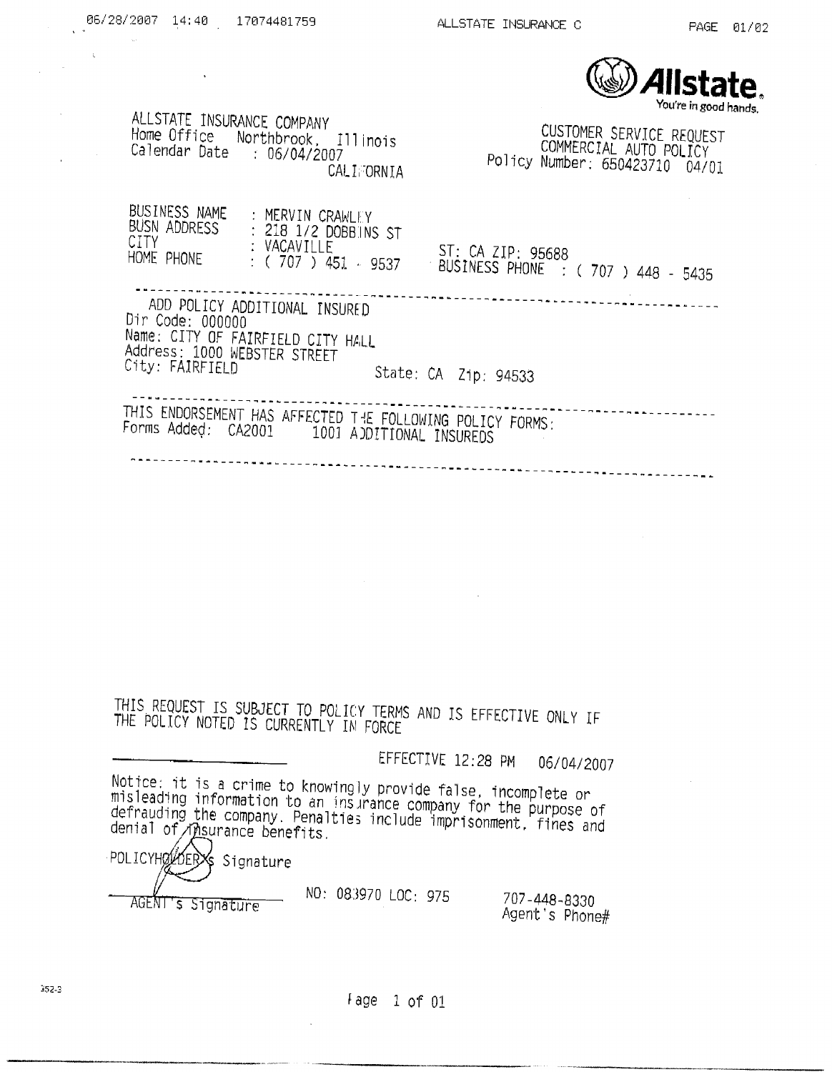

ALLSTATE INSURANCE COMPANY CUSTOMER SERVICE REQUEST Home Office Northbrook, Illinois<br>Calendar Date : 06/04/2007 COMMERCIAL AUTO POLICY Policy Number: 650423710 04/01 **CALIFORNIA** BUSINESS NAME MERVIN CRAWLEY BUSN ADDRESS : 218 1/2 DOBBINS ST CITY CITY : VACAVILLE ST: CA ZIP: 95688 HOME PHONE  $\therefore$  (707) 451 - 9537 BUSINESS PHONE : (707) 448 - 5435 ADD POLICY ADDITIONAL INSURED Dir Code: 000000 110000 100000 Address: 1000 WEBSTER STREET City: FAIRFIELD State: CA Zip: 94533 THIS ENDORSEMENT HAS AFFECTED THE FOLLOWING POLICY FORMS: Forms Added: CA2001 1001 AJDITIONAL INSUREDS 

THIS REQUEST IS SUBJECT TO POLICY TERMS AND IS EFFECTIVE ONLY IF THE POLICY NOTED IS CURRENTLY IN FORCE

> EFFECTIVE 12:28 PM 06/04/2007

Notice: it is a crime to knowingly provide false, incomplete or misleading information to an insurance company for the purpose of defrauding the company. Penalties include imprisonment. fines and<br>denial of msurance benefits.

POLICYHOLOER **X**Siqnature AGENT's Signature

06/28/2007 14:40 17074481759

 $\sim$   $\sim$ 

NO: 083970 LOC: 975

707-448-8330 Agent's Phone#

Fage 1 of 01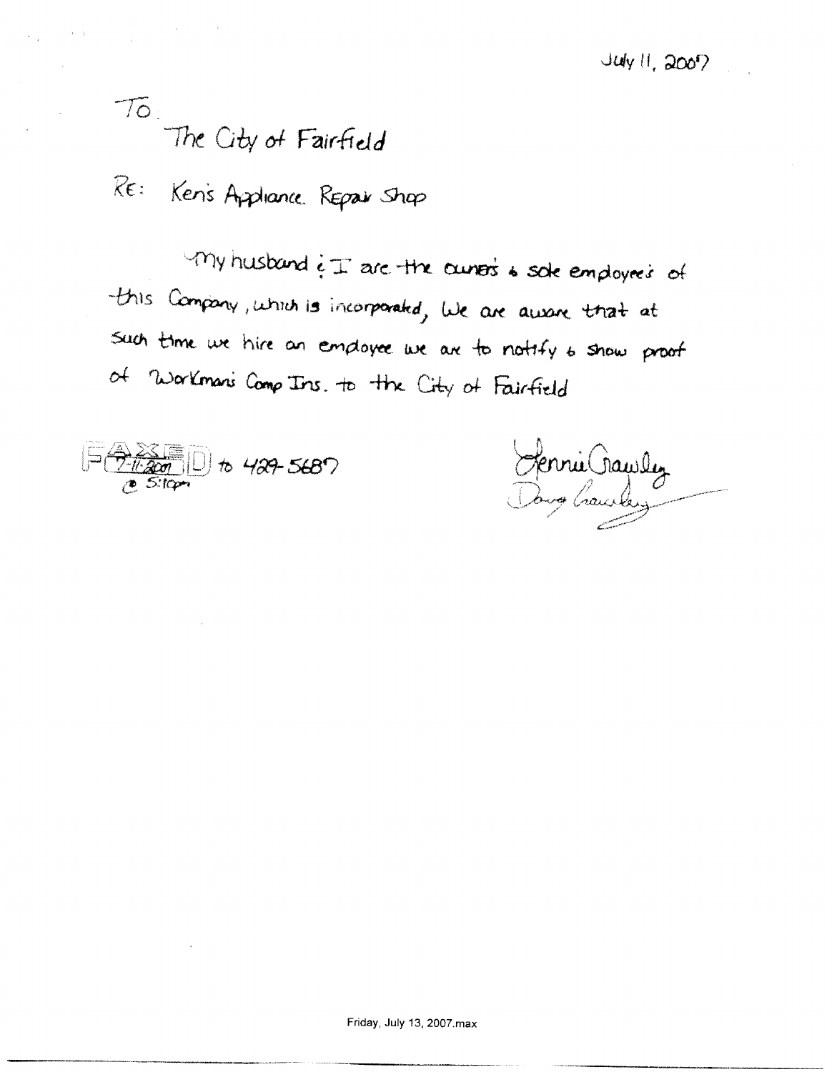# To:<br>The City of Fairfield

 $\label{eq:2.1} \mathcal{A}=\mathcal{A}^{\dagger}\mathcal{A}^{\dagger}=\mathcal{A}^{\dagger}\mathcal{A}^{\dagger}=\mathcal{A}^{\dagger}\mathcal{A}^{\dagger}=\mathcal{A}^{\dagger}\mathcal{A}^{\dagger}=\mathcal{A}^{\dagger}\mathcal{A}^{\dagger}$ 

RE: Ken's Appliance Repair Shop

 $\nu$ My husband  $i \pm$  are the curvers & sole employees of this Company, which is incorporated, we are aware that at Such time we hire an employee we are to notify to show proof of Workman's Comp Ins. to the City of Fairfield



Sennie Crauslez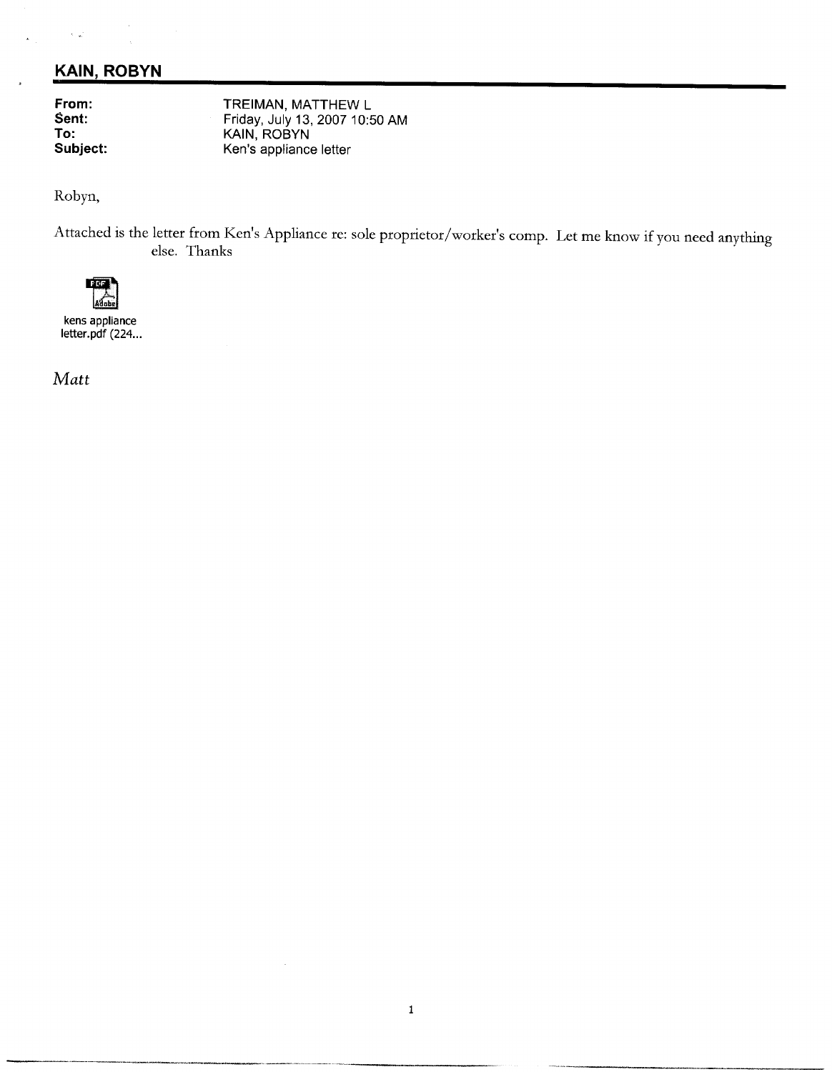### **KAIN, ROBYN**

From: Sent: To: Subject:

 $\lambda$  ,  $\omega$ 

TREIMAN, MATTHEW L Friday, July 13, 2007 10:50 AM KAIN, ROBYN Ken's appliance letter

Robyn,

Attached is the letter from Ken's Appliance re: sole proprietor/worker's comp. Let me know if you need anything else. Thanks



kens appliance letter.pdf (224...

Matt

 $\bar{z}$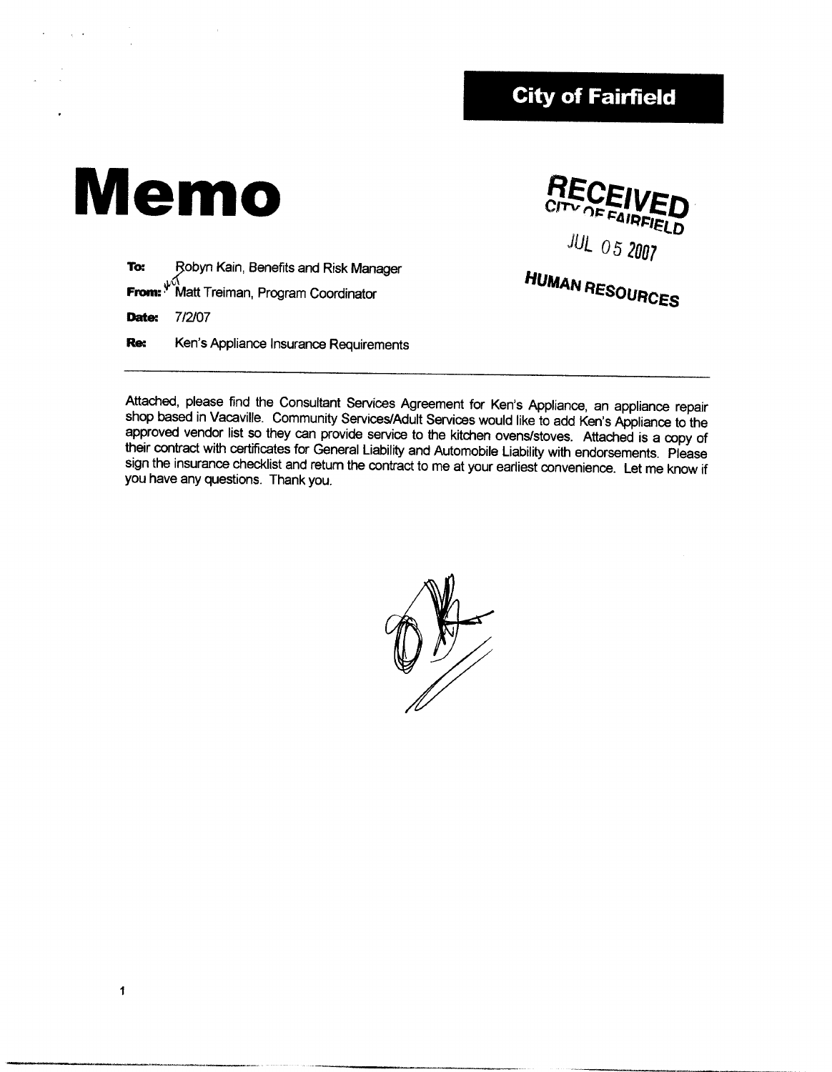## **City of Fairfield**

# **Memo**

**RECEI AIRFIELD JUL 05 2007** 

Robyn Kain, Benefits and Risk Manager To: From:  $\sqrt[4]{}$ Matt Treiman, Program Coordinator 7/2/07 Date: Ken's Appliance Insurance Requirements Re:

**HUMAN RESOURCES** 

Attached, please find the Consultant Services Agreement for Ken's Appliance, an appliance repair shop based in Vacaville. Community Services/Adult Services would like to add Ken's Appliance to the approved vendor list so they can provide service to the kitchen ovens/stoves. Attached is a copy of their contract with certificates for General Liability and Automobile Liability with endorsements. Please sign the insurance checklist and return the contract to me at your earliest convenience. Let me know if you have any questions. Thank you.



 $\mathbf{1}$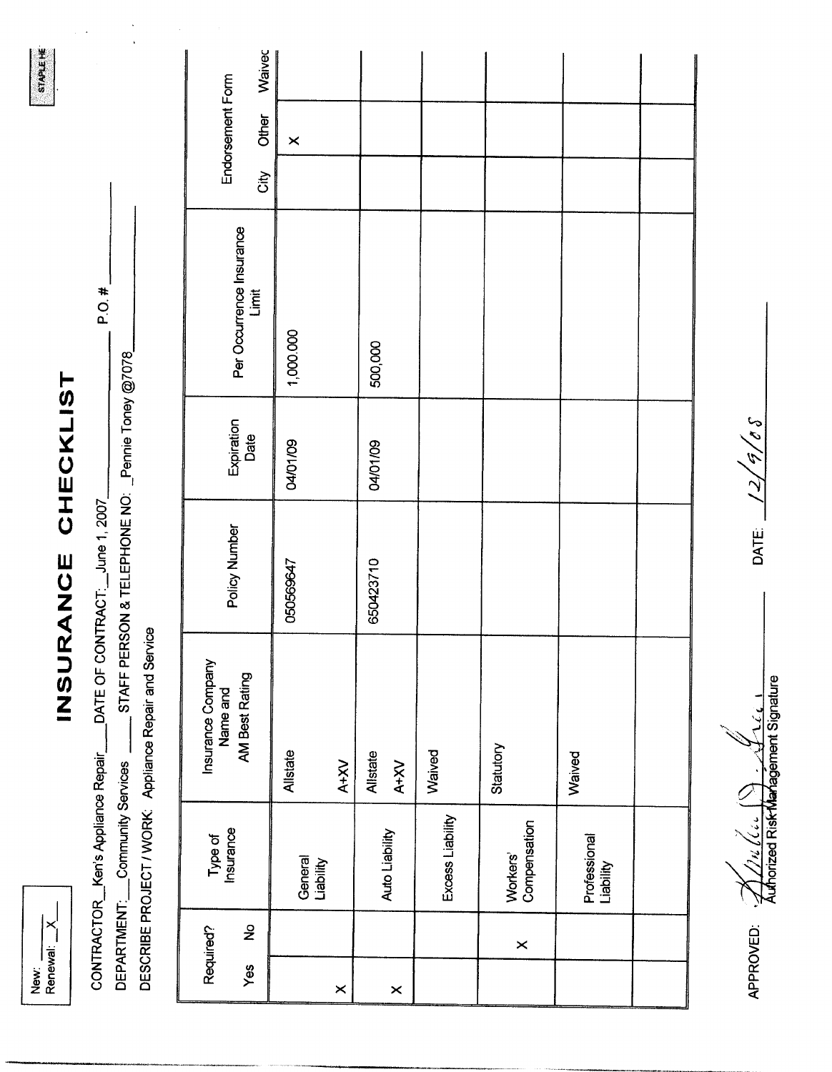| ₹<br>پ | ewa |
|--------|-----|
|        |     |

# INSURANCE CHECKLIST

 $P.O.#$ 

STAPLE HE

STAFF PERSON & TELEPHONE NO: Pennie Toney @7078 DATE OF CONTRACT: June 1, 2007 DESCRIBE PROJECT / WORK: Appliance Repair and Service DEPARTMENT: Community Services CONTRACTOR\_Ken's Appliance Repair\_

|          | Required?     | Type of<br>Insurance      | Insurance Company<br>Name and |               |                    |                                   |      |                           |        |
|----------|---------------|---------------------------|-------------------------------|---------------|--------------------|-----------------------------------|------|---------------------------|--------|
| Yes      | $\frac{1}{2}$ |                           | AM Best Rating                | Policy Number | Expiration<br>Date | Per Occurrence Insurance<br>Limit | City | Endorsement Form<br>Other | Waivec |
|          |               | General<br>Liability      | Allstate                      | 050569647     | 04/01/09           | 1,000.000                         |      | $\times$                  |        |
| $\times$ |               |                           | A+XV                          |               |                    |                                   |      |                           |        |
|          |               |                           | Allstate                      | 650423710     | 04/01/09           | 500,000                           |      |                           |        |
| $\times$ |               | Auto Liability            | $X+XY$                        |               |                    |                                   |      |                           |        |
|          |               | Excess Liability          | Waived                        |               |                    |                                   |      |                           |        |
|          | $\times$      | Workers'<br>Compensation  | Statutory                     |               |                    |                                   |      |                           |        |
|          |               | Professional<br>Liability | Waived                        |               |                    |                                   |      |                           |        |
|          |               |                           |                               |               |                    |                                   |      |                           |        |

32/3 <u> 2</u> DATE:

 $\frac{\sqrt{2}}{\sqrt{2}}$ 

APPROVED: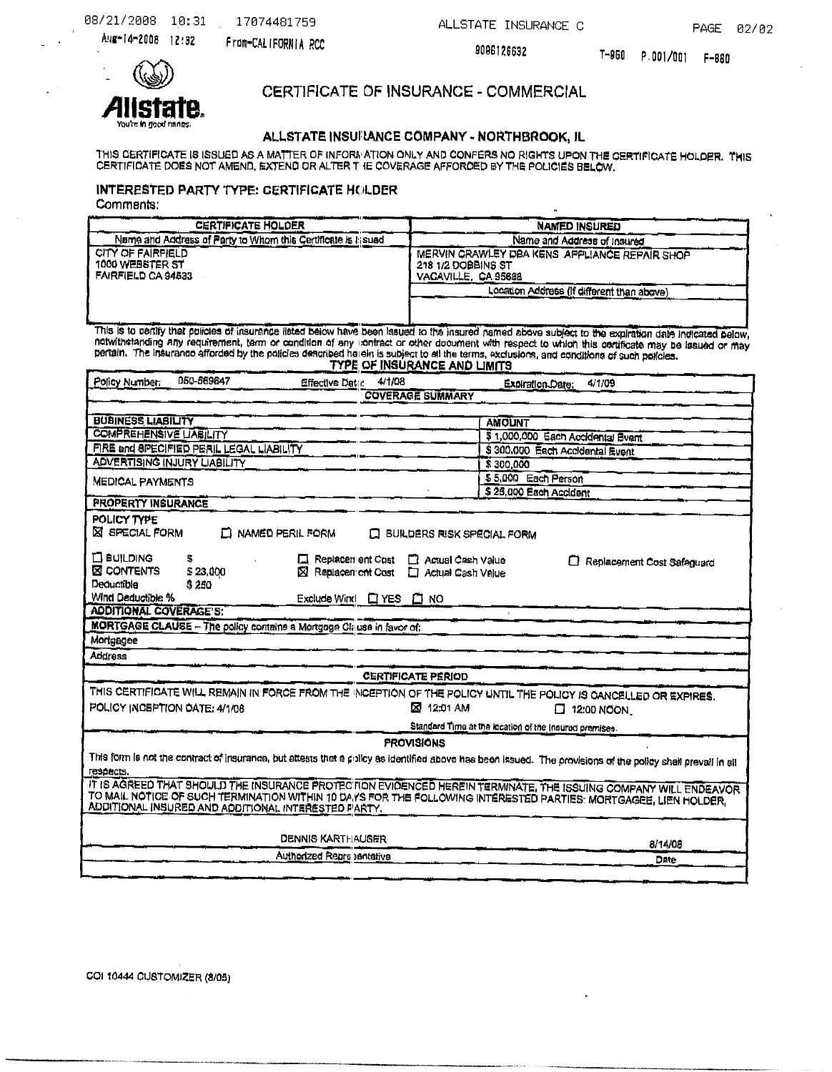ALLSTATE INSURANCE C

PAGE 02/02

Aug-14-2008 12:32

From-CALIFORNIA RCC

9096126632

 $\mathbf{a}$ 



CERTIFICATE OF INSURANCE - COMMERCIAL

### ALLSTATE INSUFANCE COMPANY - NORTHBROOK, IL

THIS CERTIFICATE IS ISSUED AS A MATTER OF INFORMATION ONLY AND CONFERS NO RIGHTS UPON THE CERTIFICATE HOLDER. THIS<br>CERTIFICATE DOES NOT AMEND, EXTEND OR ALTER THE COVERAGE AFFORDED BY THE POLICIES BELOW.

## INTERESTED PARTY TYPE: CERTIFICATE HOLDER

Comments:

| <b>CERTIFICATE HOLDER</b>                                                                                                                  | <b>NAMED INSURED</b>                                                                                                                                                                                                                                                                                                                        |  |  |
|--------------------------------------------------------------------------------------------------------------------------------------------|---------------------------------------------------------------------------------------------------------------------------------------------------------------------------------------------------------------------------------------------------------------------------------------------------------------------------------------------|--|--|
| Name and Address of Party to Whom this Certificate is it sued                                                                              | Name and Address of Insured                                                                                                                                                                                                                                                                                                                 |  |  |
| CITY OF FAIRFIELD<br>1000 WEBSTER ST<br>FAIRFIELD CA 94533                                                                                 | MERVIN CRAWLEY DBA KENS APPLIANCE REPAIR SHOP<br>218 1/2 DOBBINS ST<br>VACAVILLE, CA 95688                                                                                                                                                                                                                                                  |  |  |
|                                                                                                                                            | Location Address (If different than above)                                                                                                                                                                                                                                                                                                  |  |  |
|                                                                                                                                            |                                                                                                                                                                                                                                                                                                                                             |  |  |
| pertain. The insurance afforded by the policies described heldin is subject to all the terms, exclusions, and conditions of such policies. | This is to certify that policies of insurance listed below have been issued to the insured named above subject to the expiration date indicated below.<br>notwithstanding any requirement, term or condition of any inortract or other document with respect to which this contificate may be issued or may<br>TYPE OF INSURANCE AND LIMITS |  |  |
| 050-569647<br>4/1/08<br>Policy Number<br>Effective Date:                                                                                   | 4/1/09<br>Expiration Date:                                                                                                                                                                                                                                                                                                                  |  |  |
|                                                                                                                                            | <b>COVERAGE SUMMARY</b>                                                                                                                                                                                                                                                                                                                     |  |  |
|                                                                                                                                            |                                                                                                                                                                                                                                                                                                                                             |  |  |
| BUSINESS LIABILITY                                                                                                                         | <b>AMOUNT</b>                                                                                                                                                                                                                                                                                                                               |  |  |
| <b>COMPREHENSIVE LIABILITY</b>                                                                                                             | \$1,000,000 Each Accidental Event                                                                                                                                                                                                                                                                                                           |  |  |
| FIRE and SPECIFIED PERIL LEGAL LIABILITY                                                                                                   | \$300.000 Each Accidental Event                                                                                                                                                                                                                                                                                                             |  |  |
| ADVERTISING INJURY LIABILITY                                                                                                               | \$300,000                                                                                                                                                                                                                                                                                                                                   |  |  |
| <b>MEDICAL PAYMENTS</b>                                                                                                                    | \$5,000 Each Person                                                                                                                                                                                                                                                                                                                         |  |  |
| <b><i>PROPERTY INSURANCE</i></b>                                                                                                           | \$25,000 Each Accident                                                                                                                                                                                                                                                                                                                      |  |  |
| POLICY TYPE                                                                                                                                |                                                                                                                                                                                                                                                                                                                                             |  |  |
| <b>X SPECIAL FORM</b><br>LI NAMED PERIL FORM                                                                                               | L BUILDERS RISK SPECIAL FORM                                                                                                                                                                                                                                                                                                                |  |  |
| <b>EL BUILDING</b><br>5<br>Replacen ent Cost<br><b>EX CONTENTS</b><br>\$23,000<br>X Replacen cnt Cost<br>Dequatible<br>\$250               | <b>C</b> Actual Cash Value<br>Replacement Cost Safeguard<br>Actual Cash Value                                                                                                                                                                                                                                                               |  |  |
| Wind Deductible %<br>Exclude Wind C YES C NO                                                                                               |                                                                                                                                                                                                                                                                                                                                             |  |  |
| <b>ADDITIONAL COVERAGE'S:</b>                                                                                                              |                                                                                                                                                                                                                                                                                                                                             |  |  |
| MORTGAGE CLAUSE - The policy contains a Mortgage Clause in favor of:                                                                       |                                                                                                                                                                                                                                                                                                                                             |  |  |
| Mortgagee                                                                                                                                  |                                                                                                                                                                                                                                                                                                                                             |  |  |
| Address                                                                                                                                    |                                                                                                                                                                                                                                                                                                                                             |  |  |
|                                                                                                                                            | <b>CERTIFICATE PERIOD</b>                                                                                                                                                                                                                                                                                                                   |  |  |
| THIS CERTIFICATE WILL REMAIN IN FORCE FROM THE INCEPTION OF THE POLICY UNTIL THE POLICY IS CANCELLED OR EXPIRES.                           |                                                                                                                                                                                                                                                                                                                                             |  |  |
| POLICY INCEPTION OATE: 4/1/08                                                                                                              | ⊠ 12:01 AM<br>$\square$ 12:00 NOON.                                                                                                                                                                                                                                                                                                         |  |  |
|                                                                                                                                            | Standard Time at the location of the insured premises.                                                                                                                                                                                                                                                                                      |  |  |
|                                                                                                                                            | <b>PROVISIONS</b>                                                                                                                                                                                                                                                                                                                           |  |  |
| respects.                                                                                                                                  | This form is not the contract of insurance, but attests that a policy as identified above has been issued. The provisions of the policy shall prevail in all                                                                                                                                                                                |  |  |
| ADDITIONAL INSURED AND ADDITIONAL INTERESTED FARTY.                                                                                        | IT IS AGREED THAT SHOULD THE INSURANCE PROTECTION EVIDENCED HEREIN TERMINATE, THE ISSUING COMPANY WILL ENDEAVOR<br>TO MAIL NOTICE OF SUCH TERMINATION WITHIN 10 DAYS FOR THE FOLLOWING INTERESTED PARTIES: MORTGAGEE, LIEN HOLDER,                                                                                                          |  |  |
| <b>DENNIS KARTHAUSER</b>                                                                                                                   | 3/14/08                                                                                                                                                                                                                                                                                                                                     |  |  |
| Authorized Representative                                                                                                                  | Date                                                                                                                                                                                                                                                                                                                                        |  |  |
|                                                                                                                                            |                                                                                                                                                                                                                                                                                                                                             |  |  |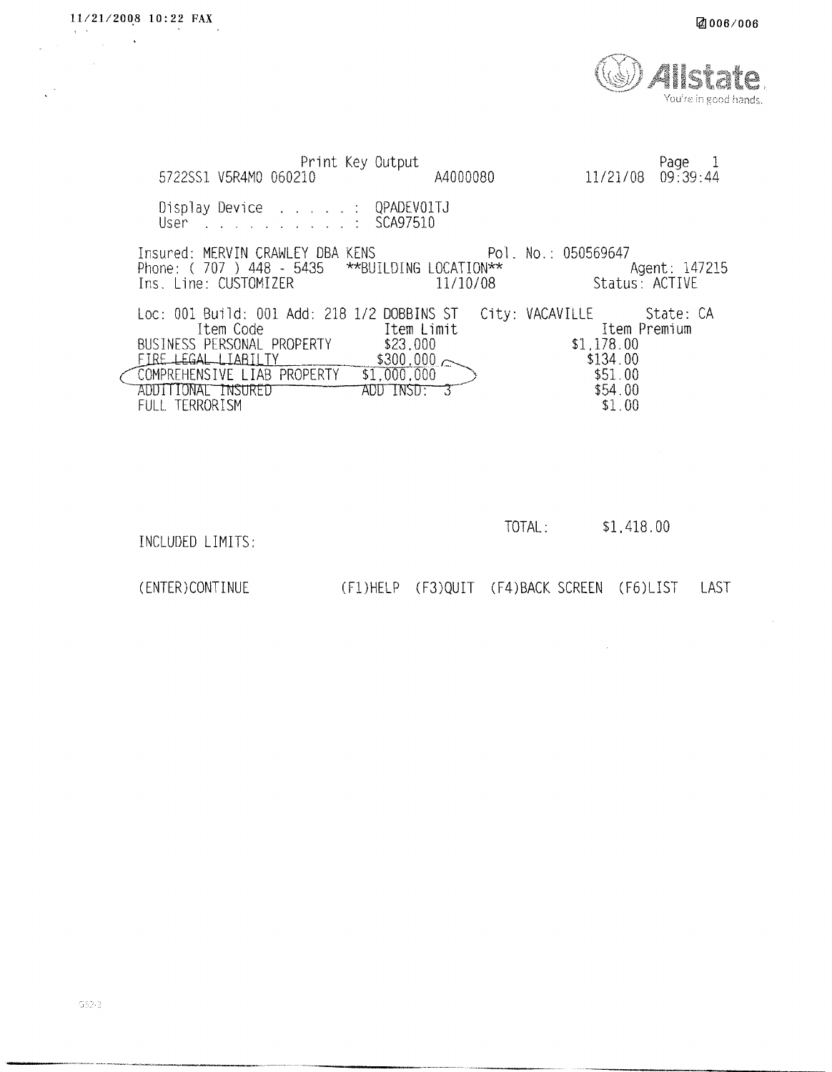|  | ☑006⁄006 |
|--|----------|
|--|----------|

| Print Key Output<br>5722SS1 V5R4M0 060210                                                                                                                                                                                  | A4000080                                 | Page 1<br>$11/21/08$ 09:39:44                                                                       |
|----------------------------------------------------------------------------------------------------------------------------------------------------------------------------------------------------------------------------|------------------------------------------|-----------------------------------------------------------------------------------------------------|
| Display Device QPADEVO1TJ<br>User SCA97510                                                                                                                                                                                 |                                          |                                                                                                     |
| Insured: MERVIN CRAWLEY DBA KENS [1975] Pol. No.: 050569647<br>Phone: $(707)$ 448 - 5435 **BUILDING LOCATION**<br>Ins. Line: CUSTOMIZER                                                                                    | 11/10/08                                 | Agent: 147215<br>Status: ACTIVE                                                                     |
| Loc: 001 Build: 001 Add: 218 1/2 DOBBINS ST<br>Item Code<br><b>Example 11</b> Limit<br>BUSINESS PERSONAL PROPERTY<br>FIRE LEGAL LIABILTY<br>COMPREHENSIVE LIAB PROPERTY \$1,000,000<br>III IONAL INSURED<br>FULL TERRORISM | \$23,000<br>$$300,000 \sim$<br>ADD INSDE | City: VACAVILLE State: CA<br>Item Premium<br>\$1.178.00<br>\$134.00<br>\$51.00<br>\$54.00<br>\$1.00 |

| TOTAL: | \$1,418.00 |
|--------|------------|
|        |            |

 $\sim 10$ 

INCLUDED LIMITS:

(ENTER) CONTINUE

11/21/2008 10:22 FAX

 $\begin{array}{c}\n\overline{a} & \overline{b} \\
\overline{a} & \overline{b} \\
\overline{b} & \overline{b} \\
\overline{c} & \overline{c} \\
\overline{d} & \overline{d} \\
\overline{d} & \overline{d} \\
\overline{d} & \overline{d} \\
\overline{d} & \overline{d} \\
\overline{d} & \overline{d} \\
\overline{d} & \overline{d} \\
\overline{d} & \overline{d} \\
\overline{d} & \overline{d} \\
\overline{d} & \overline{d} \\
\overline{d} & \overline{d} \\
\overline{d} & \overline{d} \\
\over$ 

(F1)HELP (F3)QUIT (F4)BACK SCREEN (F6)LIST LAST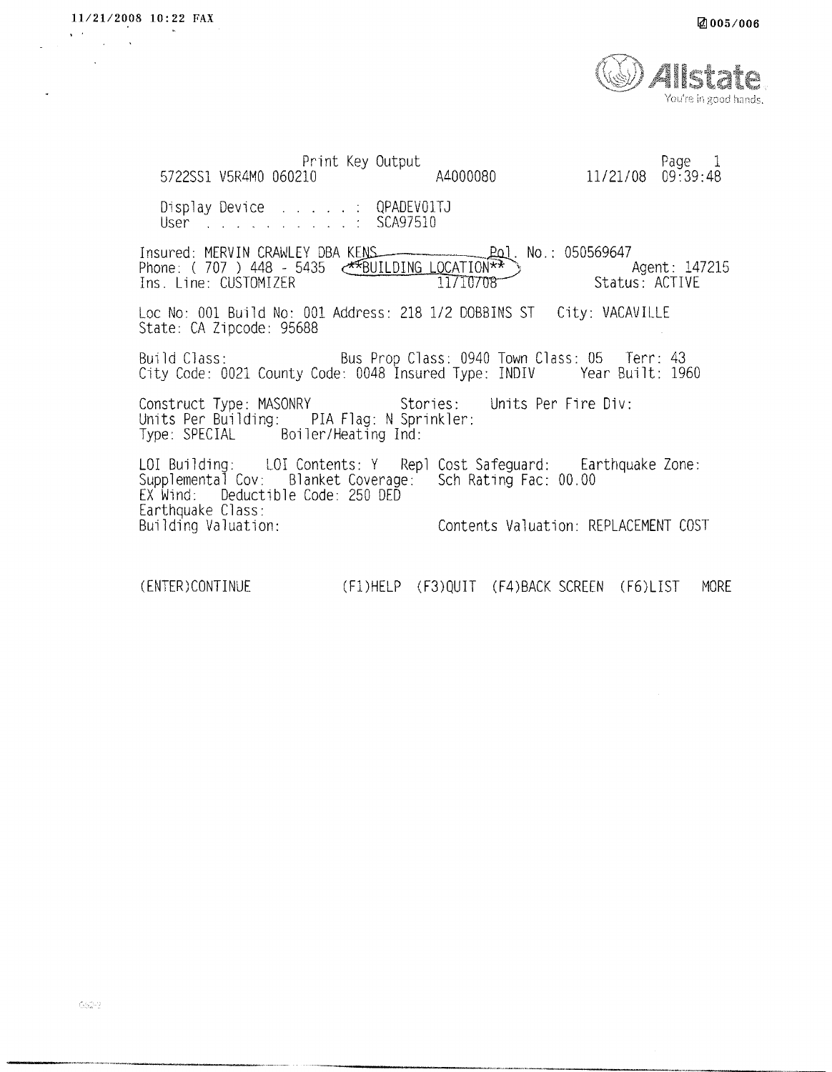Print Key Output Page 1 11/21/08 09:39:48 5722SS1 V5R4M0 060210 A4000080 Display Device . . . . . : QPADEV01TJ User Albert Albert Albert Albert Albert Albert Albert Albert Albert Albert Albert Albert Albert Albert Albert Albert Albert Albert Albert Albert Albert Albert Albert Albert Albert Albert Albert Albert Albert Albert Albert SCA97510 Insured: MERVIN CRAWLEY DBA KENS <u>Pol</u>. No.: 050569647 Phone: (707) 448 - 5435 ABUILDING LOCATION\*\* Agent: 147215 11710708 Ins. Line: CUSTOMIZER Status: ACTIVE Loc No: 001 Build No: 001 Address: 218 1/2 DOBBINS ST City: VACAVILLE State: CA Zipcode: 95688 Bus Prop Class: 0940 Town Class: 05 Terr: 43 Build Class: City Code: 0021 County Code: 0048 Insured Type: INDIV Year Built: 1960 Units Per Fire Div: Construct Type: MASONRY Stories: Units Per Building: PIA Flag: N Sprinkler:<br>Type: SPECIAL Boiler/Heating Ind: LOI Building: LOI Contents: Y Repl Cost Safeguard: Earthquake Zone:<br>Supplemental Cov: Blanket Coverage: Sch Rating Fac: 00.00<br>EX Wind: Deductible Code: 250 DED Earthquake Class: Building Valuation: Contents Valuation: REPLACEMENT COST

(F1)HELP (F3)QUIT (F4)BACK SCREEN (F6)LIST MORE (ENTER) CONTINUE

11/21/2008 10:22 FAX

 $\ddot{\phantom{a}}$ 

 $\mathbf{v} \in \mathbb{R}^{n \times n}$ 

 $\sim$  10  $\,$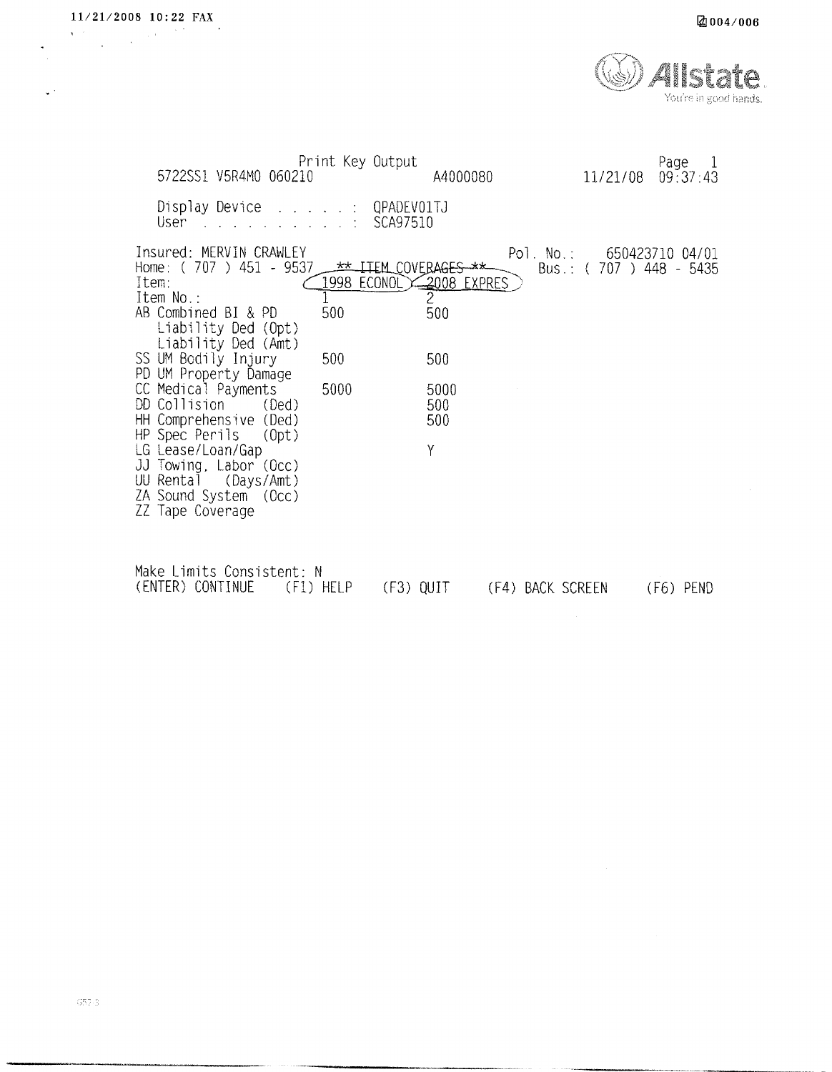$\ddot{\phantom{0}}$ 

 $\mathbf{v}^{(k)}$ 



| 5722SS1 V5R4M0 060210                                                                                                                                                                                           | Print Key Output                                                     | A4000080                | 11/21/08                                              | Page<br>$\perp$<br>09:37:43 |
|-----------------------------------------------------------------------------------------------------------------------------------------------------------------------------------------------------------------|----------------------------------------------------------------------|-------------------------|-------------------------------------------------------|-----------------------------|
| Display Device : QPADEV01TJ<br><u>na mana na mana na mana na m</u><br>User                                                                                                                                      | SCA97510                                                             |                         |                                                       |                             |
| Insured: MERVIN CRAWLEY<br>Home: $(707) 451 - 9537$<br>Item:<br>Item No.:<br>AB Combined BI & PD<br>Liability Ded (Opt)<br>Liability Ded (Amt)<br>SS UM Bodily Injury<br>PD UM Property Damage                  | <b>** ITEM COVERAGES **</b><br>1998 ECONOL 2008 EXPRES<br>500<br>500 | 2<br>500<br>500         | Pol. No.: 650423710 04/01<br>Bus.: $(707)$ 448 - 5435 |                             |
| CC Medical Payments<br>DD Collision (Ded)<br>HH Comprehensive (Ded)<br>HP Spec Perils (Opt)<br>LG Lease/Loan/Gap<br>JJ Towing, Labor (Occ)<br>UU Rental (Days/Amt)<br>ZA Sound System (Occ)<br>ZZ Tape Coverage | 5000                                                                 | 5000<br>500<br>500<br>Υ |                                                       |                             |
| Make Limits Consistent: N<br>(ENTER) CONTINUE<br>(F1) HELP                                                                                                                                                      | (F3) QUIT                                                            |                         | (F4) BACK SCREEN                                      | (F6) PEND                   |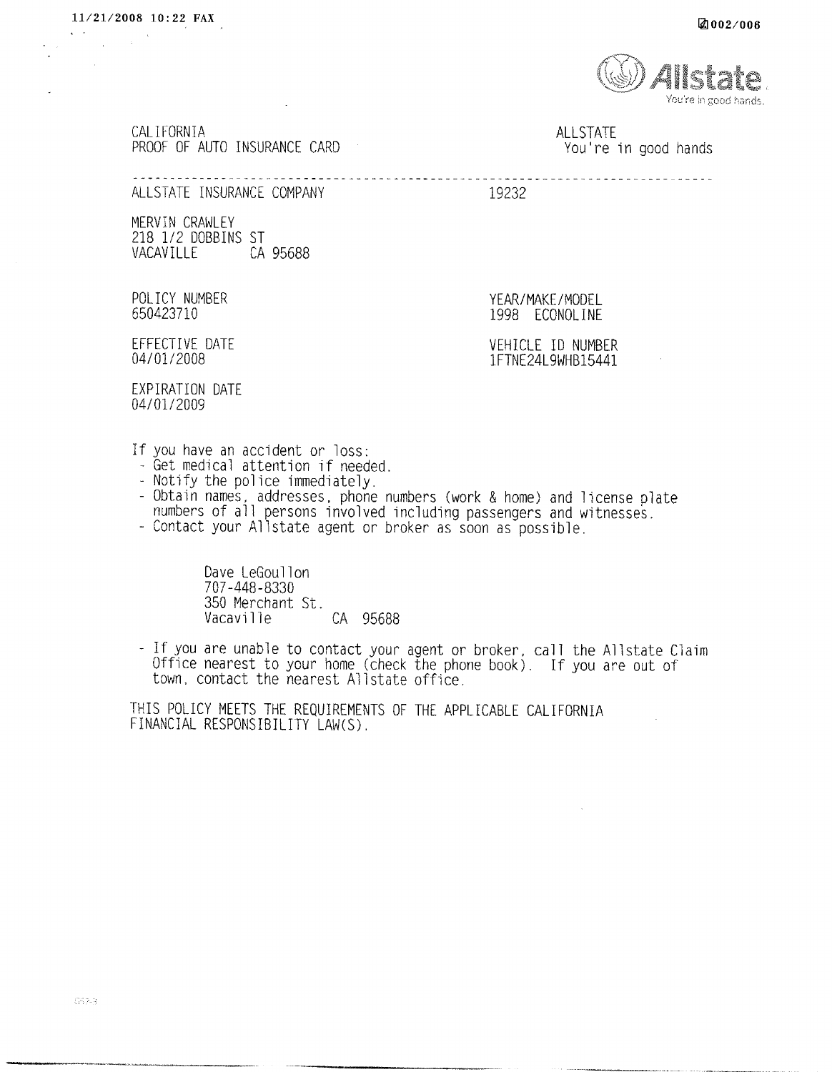$\mathbf{s} = \mathbf{e}^{(1)}$  , where  $\mathbf{e}^{(2)}$  ,  $\mathbf{e}^{(1)}$  ,  $\mathbf{e}^{(2)}$ 



CALIFORNIA PROOF OF AUTO INSURANCE CARD

**ALLSTATE** You're in good hands

------------------------------

ALLSTATE INSURANCE COMPANY

19232

MERVIN CRAWLEY 218 1/2 DOBBINS ST VACAVILLE CA 95688

POLICY NUMBER 650423710

1998 ECONOLINE

EFFECTIVE DATE 04/01/2008

VEHICLE ID NUMBER 1FTNE24L9WHB15441

YEAR/MAKE/MODEL

EXPIRATION DATE 04/01/2009

- If you have an accident or loss:<br>- Get medical attention if needed.
	- Notify the police immediately.
	- Obtain names, addresses, phone numbers (work & home) and license plate numbers of all persons involved including passengers and witnesses.

------------------------

- Contact your Allstate agent or broker as soon as possible.

Dave LeGoullon 707-448-8330 350 Merchant St. Vacaville CA 95688

- If you are unable to contact your agent or broker, call the Allstate Claim<br>Office nearest to your home (check the phone book). If you are out of<br>town, contact the nearest Allstate office.

THIS POLICY MEETS THE REQUIREMENTS OF THE APPLICABLE CALIFORNIA FINANCIAL RESPONSIBILITY LAW(S).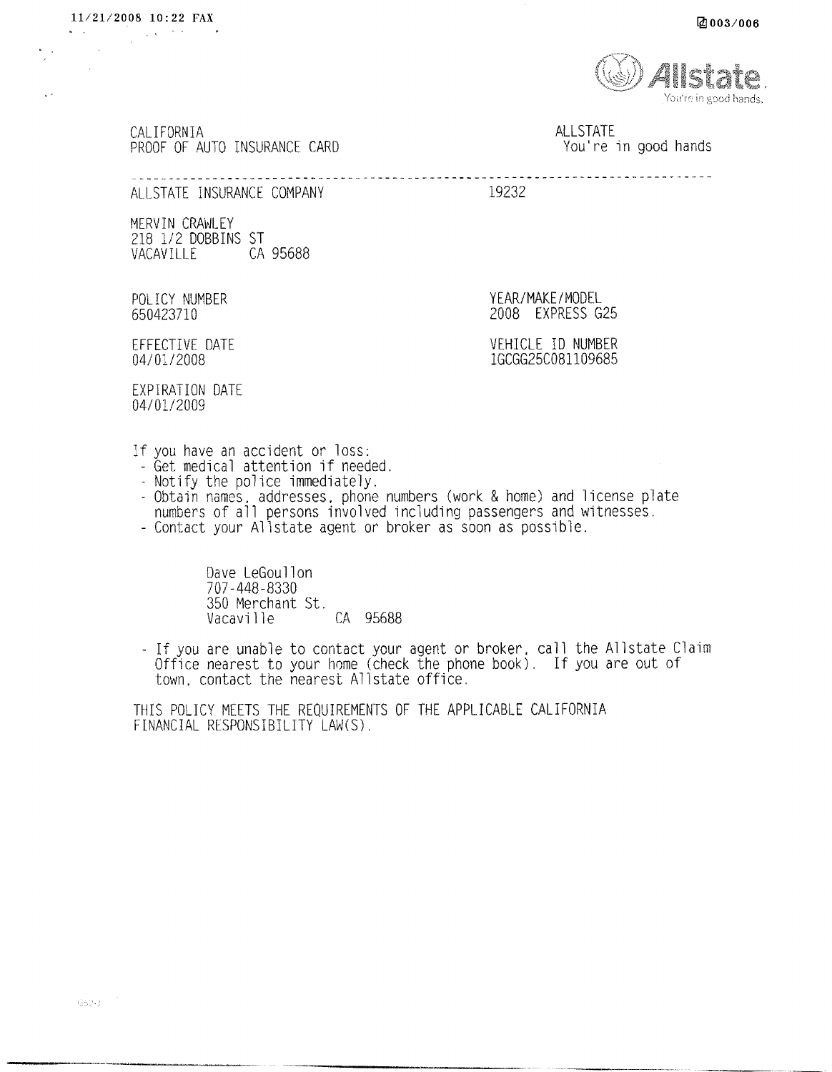and a series of the part of the

U.F

You're in good hands.

CALIFORNIA PROOF OF AUTO INSURANCE CARD

**ALLSTATE** You're in good hands

ALLSTATE INSURANCE COMPANY

19232

MERVIN CRAWLEY 218 1/2 DOBBINS ST VACAVILLE CA 95688

POLICY NUMBER 650423710

YEAR/MAKE/MODEL 2008 EXPRESS G25

EFFECTIVE DATE 04/01/2008

VEHICLE ID NUMBER 1GCGG25C081109685

**FXPIRATION DATE** 04/01/2009

- If you have an accident or loss:<br>- Get medical attention if needed.
- Notify the police immediately.
- Obtain names, addresses, phone numbers (work & home) and license plate<br>numbers of all persons involved including passengers and witnesses.
- Contact your Allstate agent or broker as soon as possible.

Dave LeGoullon 707-448-8330 350 Merchant St. CA 95688 Vacaville

- If you are unable to contact your agent or broker, call the Allstate Claim<br>Office nearest to your home (check the phone book). If you are out of town, contact the nearest Allstate office.

THIS POLICY MEETS THE REQUIREMENTS OF THE APPLICABLE CALIFORNIA FINANCIAL RESPONSIBILITY LAW(S).